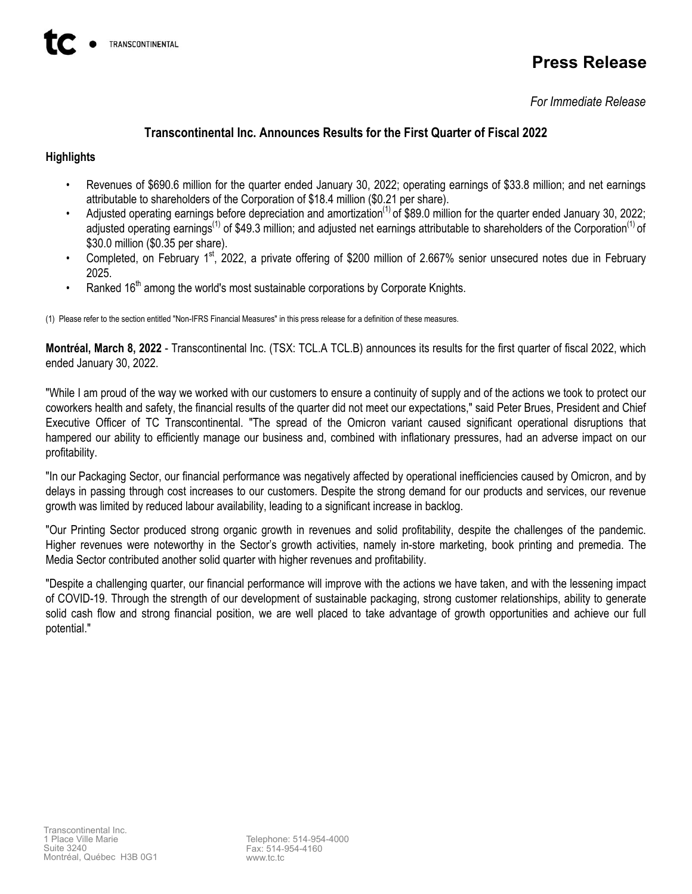# **Press Release**

*For Immediate Release*

# **Transcontinental Inc. Announces Results for the First Quarter of Fiscal 2022**

## **Highlights**

- Revenues of \$690.6 million for the quarter ended January 30, 2022; operating earnings of \$33.8 million; and net earnings attributable to shareholders of the Corporation of \$18.4 million (\$0.21 per share).
- Adjusted operating earnings before depreciation and amortization<sup>(1)</sup> of \$89.0 million for the quarter ended January 30, 2022; adjusted operating earnings<sup>(1)</sup> of \$49.3 million; and adjusted net earnings attributable to shareholders of the Corporation<sup>(1)</sup> of \$30.0 million (\$0.35 per share).
- Completed, on February 1<sup>st</sup>, 2022, a private offering of \$200 million of 2.667% senior unsecured notes due in February 2025.
- Ranked  $16<sup>th</sup>$  among the world's most sustainable corporations by Corporate Knights.

(1) Please refer to the section entitled "Non-IFRS Financial Measures" in this press release for a definition of these measures.

**Montréal, March 8, 2022** - Transcontinental Inc. (TSX: TCL.A TCL.B) announces its results for the first quarter of fiscal 2022, which ended January 30, 2022.

"While I am proud of the way we worked with our customers to ensure a continuity of supply and of the actions we took to protect our coworkers health and safety, the financial results of the quarter did not meet our expectations," said Peter Brues, President and Chief Executive Officer of TC Transcontinental. "The spread of the Omicron variant caused significant operational disruptions that hampered our ability to efficiently manage our business and, combined with inflationary pressures, had an adverse impact on our profitability.

"In our Packaging Sector, our financial performance was negatively affected by operational inefficiencies caused by Omicron, and by delays in passing through cost increases to our customers. Despite the strong demand for our products and services, our revenue growth was limited by reduced labour availability, leading to a significant increase in backlog.

"Our Printing Sector produced strong organic growth in revenues and solid profitability, despite the challenges of the pandemic. Higher revenues were noteworthy in the Sector's growth activities, namely in-store marketing, book printing and premedia. The Media Sector contributed another solid quarter with higher revenues and profitability.

"Despite a challenging quarter, our financial performance will improve with the actions we have taken, and with the lessening impact of COVID-19. Through the strength of our development of sustainable packaging, strong customer relationships, ability to generate solid cash flow and strong financial position, we are well placed to take advantage of growth opportunities and achieve our full potential."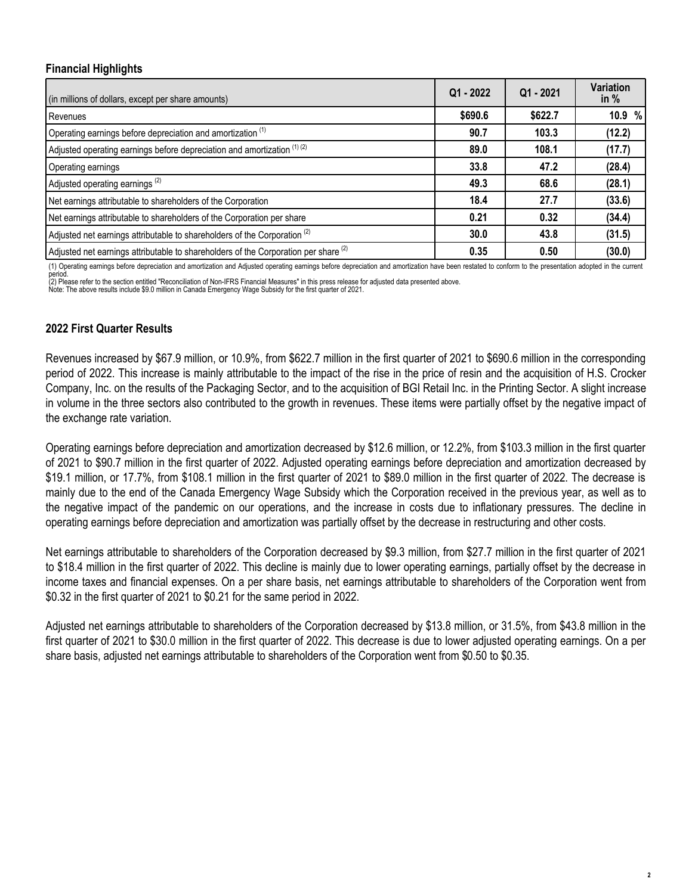## **Financial Highlights**

| (in millions of dollars, except per share amounts)                                             | $Q1 - 2022$ | $Q1 - 2021$ | Variation<br>in $%$ |
|------------------------------------------------------------------------------------------------|-------------|-------------|---------------------|
| Revenues                                                                                       | \$690.6     | \$622.7     | 10.9 %              |
| Operating earnings before depreciation and amortization (1)                                    | 90.7        | 103.3       | (12.2)              |
| Adjusted operating earnings before depreciation and amortization (1) (2)                       | 89.0        | 108.1       | (17.7)              |
| Operating earnings                                                                             | 33.8        | 47.2        | (28.4)              |
| Adjusted operating earnings <sup>(2)</sup>                                                     | 49.3        | 68.6        | (28.1)              |
| Net earnings attributable to shareholders of the Corporation                                   | 18.4        | 27.7        | (33.6)              |
| Net earnings attributable to shareholders of the Corporation per share                         | 0.21        | 0.32        | (34.4)              |
| Adjusted net earnings attributable to shareholders of the Corporation <sup>(2)</sup>           | 30.0        | 43.8        | (31.5)              |
| Adjusted net earnings attributable to shareholders of the Corporation per share <sup>(2)</sup> | 0.35        | 0.50        | (30.0)              |

(1) Operating earnings before depreciation and amortization and Adjusted operating earnings before depreciation and amortization have been restated to conform to the presentation adopted in the current

period. (2) Please refer to the section entitled "Reconciliation of Non-IFRS Financial Measures" in this press release for adjusted data presented above.

Note: The above results include \$9.0 million in Canada Emergency Wage Subsidy for the first quarter of 2021.

## **2022 First Quarter Results**

Revenues increased by \$67.9 million, or 10.9%, from \$622.7 million in the first quarter of 2021 to \$690.6 million in the corresponding period of 2022. This increase is mainly attributable to the impact of the rise in the price of resin and the acquisition of H.S. Crocker Company, Inc. on the results of the Packaging Sector, and to the acquisition of BGI Retail Inc. in the Printing Sector. A slight increase in volume in the three sectors also contributed to the growth in revenues. These items were partially offset by the negative impact of the exchange rate variation.

Operating earnings before depreciation and amortization decreased by \$12.6 million, or 12.2%, from \$103.3 million in the first quarter of 2021 to \$90.7 million in the first quarter of 2022. Adjusted operating earnings before depreciation and amortization decreased by \$19.1 million, or 17.7%, from \$108.1 million in the first quarter of 2021 to \$89.0 million in the first quarter of 2022. The decrease is mainly due to the end of the Canada Emergency Wage Subsidy which the Corporation received in the previous year, as well as to the negative impact of the pandemic on our operations, and the increase in costs due to inflationary pressures. The decline in operating earnings before depreciation and amortization was partially offset by the decrease in restructuring and other costs.

Net earnings attributable to shareholders of the Corporation decreased by \$9.3 million, from \$27.7 million in the first quarter of 2021 to \$18.4 million in the first quarter of 2022. This decline is mainly due to lower operating earnings, partially offset by the decrease in income taxes and financial expenses. On a per share basis, net earnings attributable to shareholders of the Corporation went from \$0.32 in the first quarter of 2021 to \$0.21 for the same period in 2022.

Adjusted net earnings attributable to shareholders of the Corporation decreased by \$13.8 million, or 31.5%, from \$43.8 million in the first quarter of 2021 to \$30.0 million in the first quarter of 2022. This decrease is due to lower adjusted operating earnings. On a per share basis, adjusted net earnings attributable to shareholders of the Corporation went from \$0.50 to \$0.35.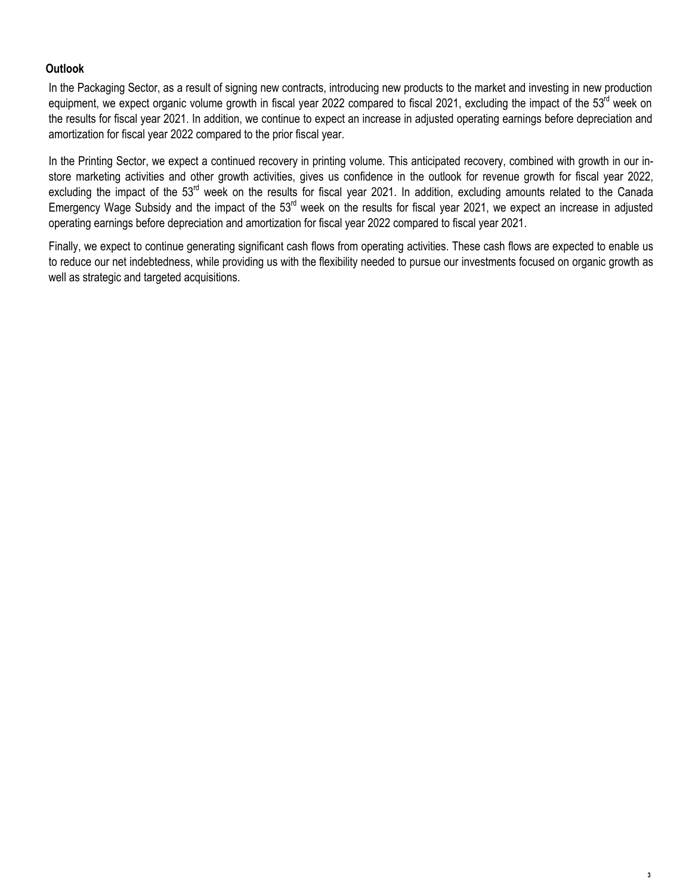# **Outlook**

In the Packaging Sector, as a result of signing new contracts, introducing new products to the market and investing in new production equipment, we expect organic volume growth in fiscal year 2022 compared to fiscal 2021, excluding the impact of the 53<sup>rd</sup> week on the results for fiscal year 2021. In addition, we continue to expect an increase in adjusted operating earnings before depreciation and amortization for fiscal year 2022 compared to the prior fiscal year.

In the Printing Sector, we expect a continued recovery in printing volume. This anticipated recovery, combined with growth in our instore marketing activities and other growth activities, gives us confidence in the outlook for revenue growth for fiscal year 2022, excluding the impact of the 53<sup>rd</sup> week on the results for fiscal year 2021. In addition, excluding amounts related to the Canada Emergency Wage Subsidy and the impact of the 53<sup>rd</sup> week on the results for fiscal year 2021, we expect an increase in adjusted operating earnings before depreciation and amortization for fiscal year 2022 compared to fiscal year 2021.

Finally, we expect to continue generating significant cash flows from operating activities. These cash flows are expected to enable us to reduce our net indebtedness, while providing us with the flexibility needed to pursue our investments focused on organic growth as well as strategic and targeted acquisitions.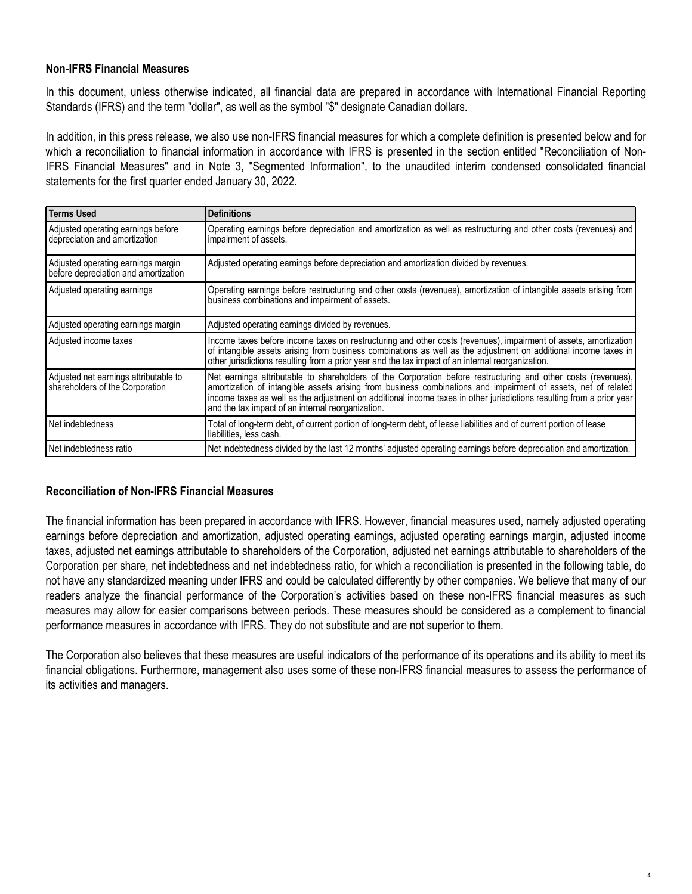## **Non-IFRS Financial Measures**

In this document, unless otherwise indicated, all financial data are prepared in accordance with International Financial Reporting Standards (IFRS) and the term "dollar", as well as the symbol "\$" designate Canadian dollars.

In addition, in this press release, we also use non-IFRS financial measures for which a complete definition is presented below and for which a reconciliation to financial information in accordance with IFRS is presented in the section entitled "Reconciliation of Non-IFRS Financial Measures" and in Note 3, "Segmented Information", to the unaudited interim condensed consolidated financial statements for the first quarter ended January 30, 2022.

| <b>Terms Used</b>                                                          | <b>Definitions</b>                                                                                                                                                                                                                                                                                                                                                                                          |
|----------------------------------------------------------------------------|-------------------------------------------------------------------------------------------------------------------------------------------------------------------------------------------------------------------------------------------------------------------------------------------------------------------------------------------------------------------------------------------------------------|
| Adjusted operating earnings before<br>depreciation and amortization        | Operating earnings before depreciation and amortization as well as restructuring and other costs (revenues) and<br>impairment of assets.                                                                                                                                                                                                                                                                    |
| Adjusted operating earnings margin<br>before depreciation and amortization | Adjusted operating earnings before depreciation and amortization divided by revenues.                                                                                                                                                                                                                                                                                                                       |
| Adjusted operating earnings                                                | Operating earnings before restructuring and other costs (revenues), amortization of intangible assets arising from<br>business combinations and impairment of assets.                                                                                                                                                                                                                                       |
| Adjusted operating earnings margin                                         | Adjusted operating earnings divided by revenues.                                                                                                                                                                                                                                                                                                                                                            |
| Adjusted income taxes                                                      | Income taxes before income taxes on restructuring and other costs (revenues), impairment of assets, amortization<br>of intangible assets arising from business combinations as well as the adjustment on additional income taxes in<br>other jurisdictions resulting from a prior year and the tax impact of an internal reorganization.                                                                    |
| Adjusted net earnings attributable to<br>shareholders of the Corporation   | Net earnings attributable to shareholders of the Corporation before restructuring and other costs (revenues),<br>amortization of intangible assets arising from business combinations and impairment of assets, net of related<br>income taxes as well as the adjustment on additional income taxes in other jurisdictions resulting from a prior year<br>and the tax impact of an internal reorganization. |
| Net indebtedness                                                           | Total of long-term debt, of current portion of long-term debt, of lease liabilities and of current portion of lease<br>liabilities, less cash.                                                                                                                                                                                                                                                              |
| Net indebtedness ratio                                                     | Net indebtedness divided by the last 12 months' adjusted operating earnings before depreciation and amortization.                                                                                                                                                                                                                                                                                           |

## **Reconciliation of Non-IFRS Financial Measures**

The financial information has been prepared in accordance with IFRS. However, financial measures used, namely adjusted operating earnings before depreciation and amortization, adjusted operating earnings, adjusted operating earnings margin, adjusted income taxes, adjusted net earnings attributable to shareholders of the Corporation, adjusted net earnings attributable to shareholders of the Corporation per share, net indebtedness and net indebtedness ratio, for which a reconciliation is presented in the following table, do not have any standardized meaning under IFRS and could be calculated differently by other companies. We believe that many of our readers analyze the financial performance of the Corporation's activities based on these non-IFRS financial measures as such measures may allow for easier comparisons between periods. These measures should be considered as a complement to financial performance measures in accordance with IFRS. They do not substitute and are not superior to them.

The Corporation also believes that these measures are useful indicators of the performance of its operations and its ability to meet its financial obligations. Furthermore, management also uses some of these non-IFRS financial measures to assess the performance of its activities and managers.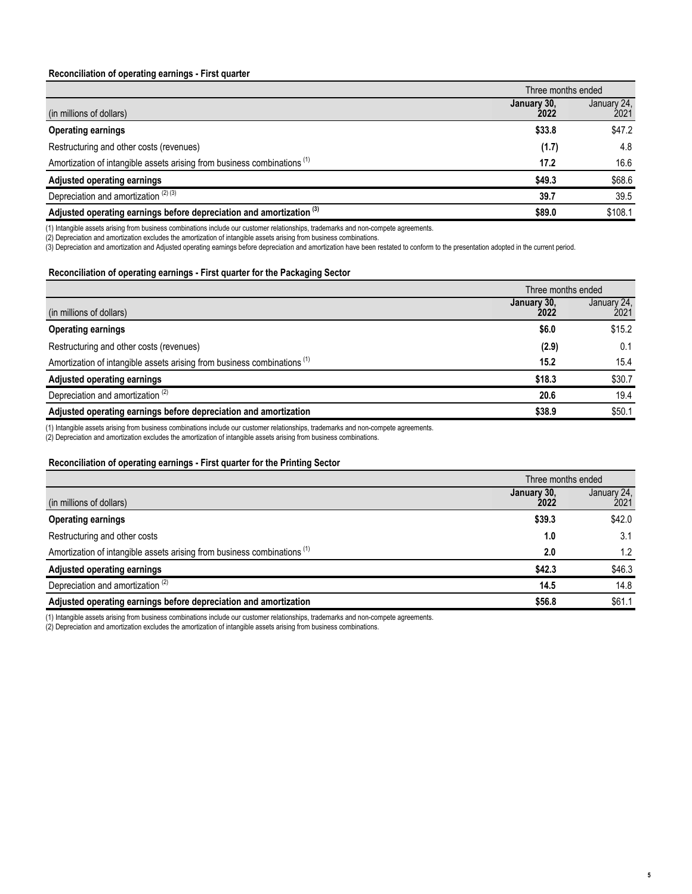### **Reconciliation of operating earnings - First quarter**

|                                                                                     | Three months ended  |                     |
|-------------------------------------------------------------------------------------|---------------------|---------------------|
| (in millions of dollars)                                                            | January 30,<br>2022 | January 24,<br>2021 |
| <b>Operating earnings</b>                                                           | \$33.8              | \$47.2              |
| Restructuring and other costs (revenues)                                            | (1.7)               | 4.8                 |
| Amortization of intangible assets arising from business combinations <sup>(1)</sup> | 17.2                | 16.6                |
| Adjusted operating earnings                                                         | \$49.3              | \$68.6              |
| Depreciation and amortization $(2)$ (3)                                             | 39.7                | 39.5                |
| Adjusted operating earnings before depreciation and amortization <sup>(3)</sup>     | \$89.0              | \$108.1             |

(1) Intangible assets arising from business combinations include our customer relationships, trademarks and non-compete agreements.

(2) Depreciation and amortization excludes the amortization of intangible assets arising from business combinations.

(3) Depreciation and amortization and Adjusted operating earnings before depreciation and amortization have been restated to conform to the presentation adopted in the current period.

### **Reconciliation of operating earnings - First quarter for the Packaging Sector**

|                                                                                     | Three months ended  |                     |
|-------------------------------------------------------------------------------------|---------------------|---------------------|
| (in millions of dollars)                                                            | January 30,<br>2022 | January 24,<br>2021 |
| <b>Operating earnings</b>                                                           | \$6.0               | \$15.2              |
| Restructuring and other costs (revenues)                                            | (2.9)               | 0.1                 |
| Amortization of intangible assets arising from business combinations <sup>(1)</sup> | 15.2                | 15.4                |
| Adjusted operating earnings                                                         | \$18.3              | \$30.7              |
| Depreciation and amortization <sup>(2)</sup>                                        | 20.6                | 19.4                |
| Adjusted operating earnings before depreciation and amortization                    | \$38.9              | \$50.1              |

(1) Intangible assets arising from business combinations include our customer relationships, trademarks and non-compete agreements.

(2) Depreciation and amortization excludes the amortization of intangible assets arising from business combinations.

### **Reconciliation of operating earnings - First quarter for the Printing Sector**

|                                                                                     | Three months ended  |                     |
|-------------------------------------------------------------------------------------|---------------------|---------------------|
| (in millions of dollars)                                                            | January 30,<br>2022 | January 24,<br>2021 |
| <b>Operating earnings</b>                                                           | \$39.3              | \$42.0              |
| Restructuring and other costs                                                       | 1.0                 | 3.1                 |
| Amortization of intangible assets arising from business combinations <sup>(1)</sup> | 2.0                 | 1.2                 |
| Adjusted operating earnings                                                         | \$42.3              | \$46.3              |
| Depreciation and amortization <sup>(2)</sup>                                        | 14.5                | 14.8                |
| Adjusted operating earnings before depreciation and amortization                    | \$56.8              | \$61.1              |

(1) Intangible assets arising from business combinations include our customer relationships, trademarks and non-compete agreements.

(2) Depreciation and amortization excludes the amortization of intangible assets arising from business combinations.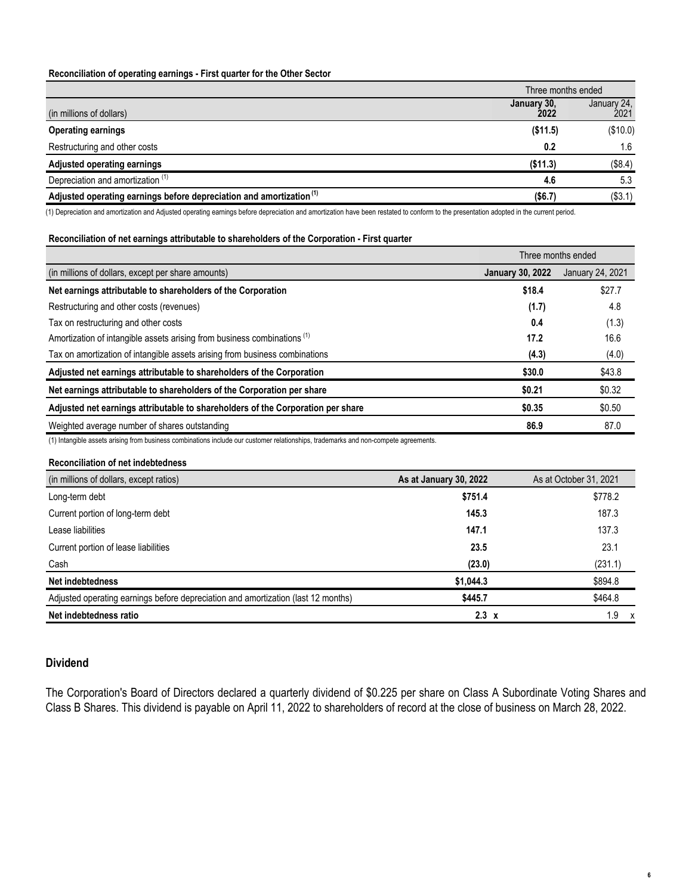## **Reconciliation of operating earnings - First quarter for the Other Sector**

|                                                                                 | Three months ended  |                     |
|---------------------------------------------------------------------------------|---------------------|---------------------|
| (in millions of dollars)                                                        | January 30,<br>2022 | January 24,<br>2021 |
| <b>Operating earnings</b>                                                       | (\$11.5)            | (\$10.0)            |
| Restructuring and other costs                                                   | 0.2                 | 1.6                 |
| <b>Adjusted operating earnings</b>                                              | (\$11.3)            | (\$8.4)             |
| Depreciation and amortization <sup>(1)</sup>                                    | 4.6                 | 5.3                 |
| Adjusted operating earnings before depreciation and amortization <sup>(1)</sup> | (\$6.7)             | (\$3.1)             |

(1) Depreciation and amortization and Adjusted operating earnings before depreciation and amortization have been restated to conform to the presentation adopted in the current period.

#### **Reconciliation of net earnings attributable to shareholders of the Corporation - First quarter**

|                                                                                     | Three months ended      |                  |
|-------------------------------------------------------------------------------------|-------------------------|------------------|
| (in millions of dollars, except per share amounts)                                  | <b>January 30, 2022</b> | January 24, 2021 |
| Net earnings attributable to shareholders of the Corporation                        | \$18.4                  | \$27.7           |
| Restructuring and other costs (revenues)                                            | (1.7)                   | 4.8              |
| Tax on restructuring and other costs                                                | 0.4                     | (1.3)            |
| Amortization of intangible assets arising from business combinations <sup>(1)</sup> | 17.2                    | 16.6             |
| Tax on amortization of intangible assets arising from business combinations         | (4.3)                   | (4.0)            |
| Adjusted net earnings attributable to shareholders of the Corporation               | \$30.0                  | \$43.8           |
| Net earnings attributable to shareholders of the Corporation per share              | \$0.21                  | \$0.32           |
| Adjusted net earnings attributable to shareholders of the Corporation per share     | \$0.35                  | \$0.50           |
| Weighted average number of shares outstanding                                       | 86.9                    | 87.0             |

(1) Intangible assets arising from business combinations include our customer relationships, trademarks and non-compete agreements.

### **Reconciliation of net indebtedness**

| (in millions of dollars, except ratios)                                           | As at January 30, 2022 | As at October 31, 2021 |
|-----------------------------------------------------------------------------------|------------------------|------------------------|
| Long-term debt                                                                    | \$751.4                | \$778.2                |
| Current portion of long-term debt                                                 | 145.3                  | 187.3                  |
| Lease liabilities                                                                 | 147.1                  | 137.3                  |
| Current portion of lease liabilities                                              | 23.5                   | 23.1                   |
| Cash                                                                              | (23.0)                 | (231.1)                |
| Net indebtedness                                                                  | \$1,044.3              | \$894.8                |
| Adjusted operating earnings before depreciation and amortization (last 12 months) | \$445.7                | \$464.8                |
| Net indebtedness ratio                                                            | $2.3 \times$           | $1.9 \times$           |

## **Dividend**

The Corporation's Board of Directors declared a quarterly dividend of \$0.225 per share on Class A Subordinate Voting Shares and Class B Shares. This dividend is payable on April 11, 2022 to shareholders of record at the close of business on March 28, 2022.

**6**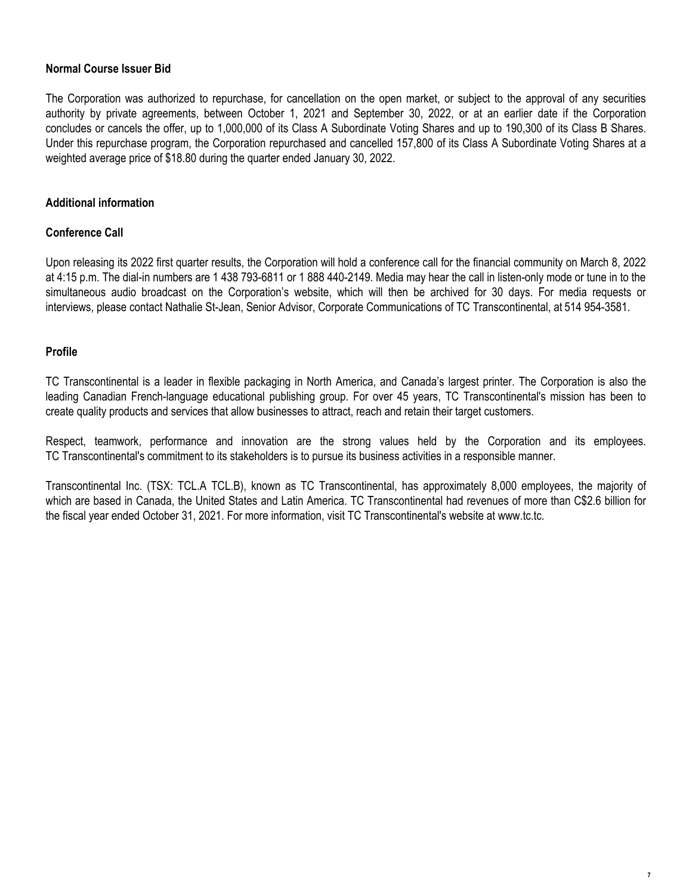## **Normal Course Issuer Bid**

The Corporation was authorized to repurchase, for cancellation on the open market, or subject to the approval of any securities authority by private agreements, between October 1, 2021 and September 30, 2022, or at an earlier date if the Corporation concludes or cancels the offer, up to 1,000,000 of its Class A Subordinate Voting Shares and up to 190,300 of its Class B Shares. Under this repurchase program, the Corporation repurchased and cancelled 157,800 of its Class A Subordinate Voting Shares at a weighted average price of \$18.80 during the quarter ended January 30, 2022.

## **Additional information**

## **Conference Call**

Upon releasing its 2022 first quarter results, the Corporation will hold a conference call for the financial community on March 8, 2022 at 4:15 p.m. The dial-in numbers are 1 438 793-6811 or 1 888 440-2149. Media may hear the call in listen-only mode or tune in to the simultaneous audio broadcast on the Corporation's website, which will then be archived for 30 days. For media requests or interviews, please contact Nathalie St-Jean, Senior Advisor, Corporate Communications of TC Transcontinental, at 514 954-3581.

## **Profile**

TC Transcontinental is a leader in flexible packaging in North America, and Canada's largest printer. The Corporation is also the leading Canadian French-language educational publishing group. For over 45 years, TC Transcontinental's mission has been to create quality products and services that allow businesses to attract, reach and retain their target customers.

Respect, teamwork, performance and innovation are the strong values held by the Corporation and its employees. TC Transcontinental's commitment to its stakeholders is to pursue its business activities in a responsible manner.

Transcontinental Inc. (TSX: TCL.A TCL.B), known as TC Transcontinental, has approximately 8,000 employees, the majority of which are based in Canada, the United States and Latin America. TC Transcontinental had revenues of more than C\$2.6 billion for the fiscal year ended October 31, 2021. For more information, visit TC Transcontinental's website at www.tc.tc.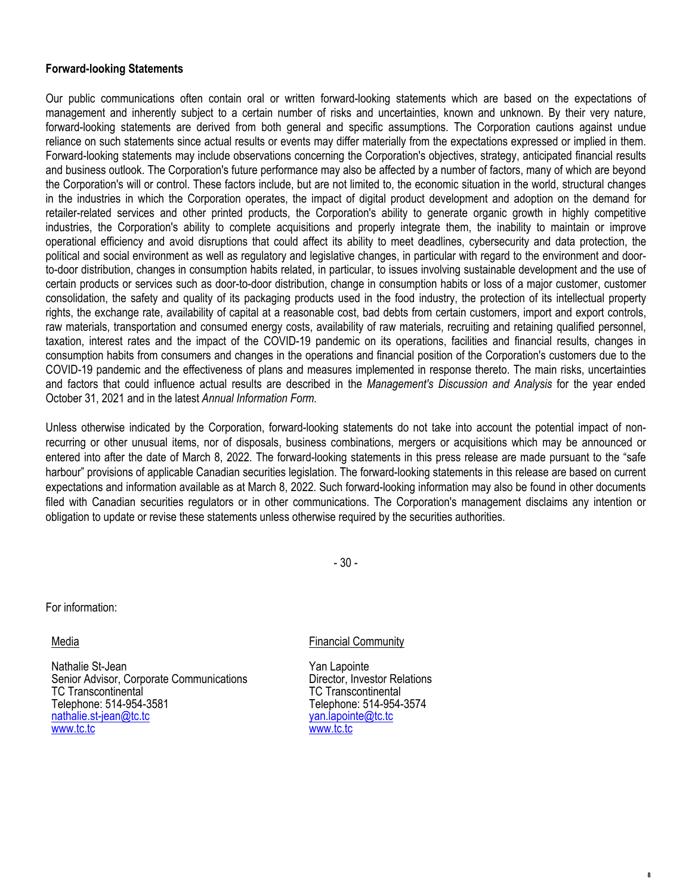## **Forward-looking Statements**

Our public communications often contain oral or written forward-looking statements which are based on the expectations of management and inherently subject to a certain number of risks and uncertainties, known and unknown. By their very nature, forward-looking statements are derived from both general and specific assumptions. The Corporation cautions against undue reliance on such statements since actual results or events may differ materially from the expectations expressed or implied in them. Forward-looking statements may include observations concerning the Corporation's objectives, strategy, anticipated financial results and business outlook. The Corporation's future performance may also be affected by a number of factors, many of which are beyond the Corporation's will or control. These factors include, but are not limited to, the economic situation in the world, structural changes in the industries in which the Corporation operates, the impact of digital product development and adoption on the demand for retailer-related services and other printed products, the Corporation's ability to generate organic growth in highly competitive industries, the Corporation's ability to complete acquisitions and properly integrate them, the inability to maintain or improve operational efficiency and avoid disruptions that could affect its ability to meet deadlines, cybersecurity and data protection, the political and social environment as well as regulatory and legislative changes, in particular with regard to the environment and doorto-door distribution, changes in consumption habits related, in particular, to issues involving sustainable development and the use of certain products or services such as door-to-door distribution, change in consumption habits or loss of a major customer, customer consolidation, the safety and quality of its packaging products used in the food industry, the protection of its intellectual property rights, the exchange rate, availability of capital at a reasonable cost, bad debts from certain customers, import and export controls, raw materials, transportation and consumed energy costs, availability of raw materials, recruiting and retaining qualified personnel, taxation, interest rates and the impact of the COVID-19 pandemic on its operations, facilities and financial results, changes in consumption habits from consumers and changes in the operations and financial position of the Corporation's customers due to the COVID-19 pandemic and the effectiveness of plans and measures implemented in response thereto. The main risks, uncertainties and factors that could influence actual results are described in the *Management's Discussion and Analysis* for the year ended October 31, 2021 and in the latest *Annual Information Form*.

Unless otherwise indicated by the Corporation, forward-looking statements do not take into account the potential impact of nonrecurring or other unusual items, nor of disposals, business combinations, mergers or acquisitions which may be announced or entered into after the date of March 8, 2022. The forward-looking statements in this press release are made pursuant to the "safe harbour" provisions of applicable Canadian securities legislation. The forward-looking statements in this release are based on current expectations and information available as at March 8, 2022. Such forward-looking information may also be found in other documents filed with Canadian securities regulators or in other communications. The Corporation's management disclaims any intention or obligation to update or revise these statements unless otherwise required by the securities authorities.

- 30 -

For information:

Media

Nathalie St-Jean Senior Advisor, Corporate Communications TC Transcontinental Telephone: 514-954-3581 nathalie.st-jean@tc.tc www.tc.tc

## Financial Community

Yan Lapointe Director, Investor Relations TC Transcontinental Telephone: 514-954-3574 yan.lapointe@tc.tc www.tc.tc

**8**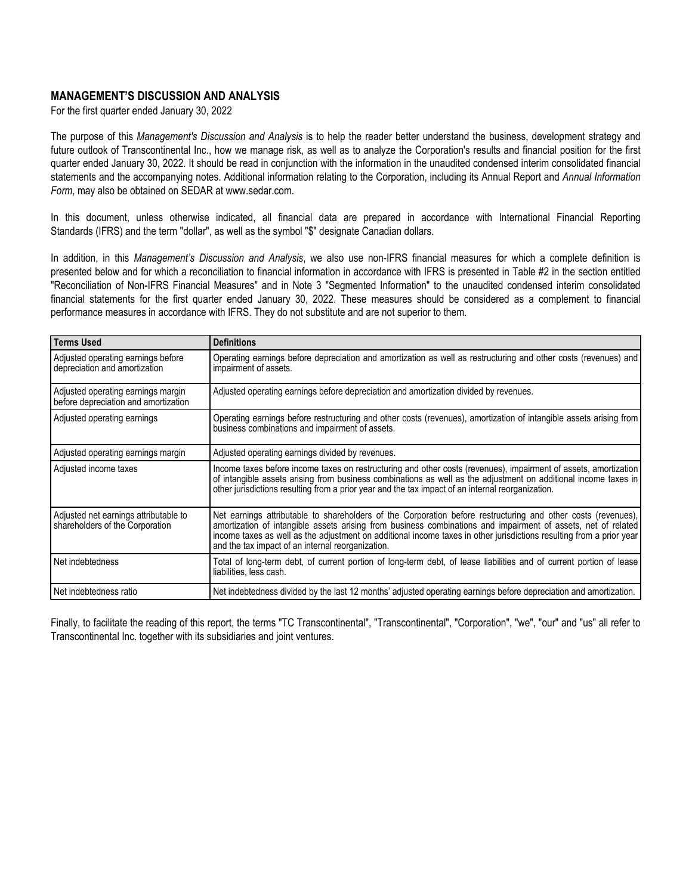## **MANAGEMENT'S DISCUSSION AND ANALYSIS**

For the first quarter ended January 30, 2022

The purpose of this *Management's Discussion and Analysis* is to help the reader better understand the business, development strategy and future outlook of Transcontinental Inc., how we manage risk, as well as to analyze the Corporation's results and financial position for the first quarter ended January 30, 2022. It should be read in conjunction with the information in the unaudited condensed interim consolidated financial statements and the accompanying notes. Additional information relating to the Corporation, including its Annual Report and *Annual Information Form*, may also be obtained on SEDAR at www.sedar.com.

In this document, unless otherwise indicated, all financial data are prepared in accordance with International Financial Reporting Standards (IFRS) and the term "dollar", as well as the symbol "\$" designate Canadian dollars.

In addition, in this *Management's Discussion and Analysis*, we also use non-IFRS financial measures for which a complete definition is presented below and for which a reconciliation to financial information in accordance with IFRS is presented in Table #2 in the section entitled "Reconciliation of Non-IFRS Financial Measures" and in Note 3 "Segmented Information" to the unaudited condensed interim consolidated financial statements for the first quarter ended January 30, 2022. These measures should be considered as a complement to financial performance measures in accordance with IFRS. They do not substitute and are not superior to them.

| Terms Used                                                                 | <b>Definitions</b>                                                                                                                                                                                                                                                                                                                                                                                          |
|----------------------------------------------------------------------------|-------------------------------------------------------------------------------------------------------------------------------------------------------------------------------------------------------------------------------------------------------------------------------------------------------------------------------------------------------------------------------------------------------------|
| Adjusted operating earnings before<br>depreciation and amortization        | Operating earnings before depreciation and amortization as well as restructuring and other costs (revenues) and<br>impairment of assets.                                                                                                                                                                                                                                                                    |
| Adjusted operating earnings margin<br>before depreciation and amortization | Adjusted operating earnings before depreciation and amortization divided by revenues.                                                                                                                                                                                                                                                                                                                       |
| Adjusted operating earnings                                                | Operating earnings before restructuring and other costs (revenues), amortization of intangible assets arising from<br>business combinations and impairment of assets.                                                                                                                                                                                                                                       |
| Adjusted operating earnings margin                                         | Adjusted operating earnings divided by revenues.                                                                                                                                                                                                                                                                                                                                                            |
| Adjusted income taxes                                                      | Income taxes before income taxes on restructuring and other costs (revenues), impairment of assets, amortization<br>of intangible assets arising from business combinations as well as the adjustment on additional income taxes in<br>other jurisdictions resulting from a prior year and the tax impact of an internal reorganization.                                                                    |
| Adjusted net earnings attributable to<br>shareholders of the Corporation   | Net earnings attributable to shareholders of the Corporation before restructuring and other costs (revenues),<br>amortization of intangible assets arising from business combinations and impairment of assets, net of related<br>income taxes as well as the adjustment on additional income taxes in other jurisdictions resulting from a prior year<br>and the tax impact of an internal reorganization. |
| l Net indebtedness                                                         | Total of long-term debt, of current portion of long-term debt, of lease liabilities and of current portion of lease<br>liabilities, less cash.                                                                                                                                                                                                                                                              |
| Net indebtedness ratio                                                     | Net indebtedness divided by the last 12 months' adjusted operating earnings before depreciation and amortization.                                                                                                                                                                                                                                                                                           |

Finally, to facilitate the reading of this report, the terms "TC Transcontinental", "Transcontinental", "Corporation", "we", "our" and "us" all refer to Transcontinental Inc. together with its subsidiaries and joint ventures.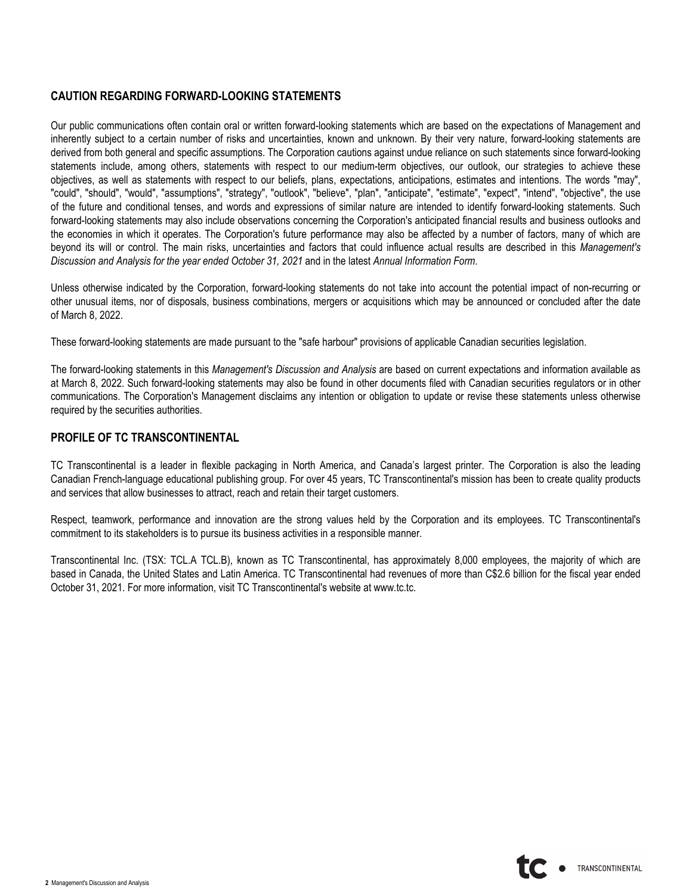## **CAUTION REGARDING FORWARD-LOOKING STATEMENTS**

Our public communications often contain oral or written forward-looking statements which are based on the expectations of Management and inherently subject to a certain number of risks and uncertainties, known and unknown. By their very nature, forward-looking statements are derived from both general and specific assumptions. The Corporation cautions against undue reliance on such statements since forward-looking statements include, among others, statements with respect to our medium-term objectives, our outlook, our strategies to achieve these objectives, as well as statements with respect to our beliefs, plans, expectations, anticipations, estimates and intentions. The words "may", "could", "should", "would", "assumptions", "strategy", "outlook", "believe", "plan", "anticipate", "estimate", "expect", "intend", "objective", the use of the future and conditional tenses, and words and expressions of similar nature are intended to identify forward-looking statements. Such forward-looking statements may also include observations concerning the Corporation's anticipated financial results and business outlooks and the economies in which it operates. The Corporation's future performance may also be affected by a number of factors, many of which are beyond its will or control. The main risks, uncertainties and factors that could influence actual results are described in this *Management's Discussion and Analysis for the year ended October 31, 2021* and in the latest *Annual Information Form*.

Unless otherwise indicated by the Corporation, forward-looking statements do not take into account the potential impact of non-recurring or other unusual items, nor of disposals, business combinations, mergers or acquisitions which may be announced or concluded after the date of March 8, 2022.

These forward-looking statements are made pursuant to the "safe harbour" provisions of applicable Canadian securities legislation.

The forward-looking statements in this *Management's Discussion and Analysis* are based on current expectations and information available as at March 8, 2022. Such forward-looking statements may also be found in other documents filed with Canadian securities regulators or in other communications. The Corporation's Management disclaims any intention or obligation to update or revise these statements unless otherwise required by the securities authorities.

## **PROFILE OF TC TRANSCONTINENTAL**

TC Transcontinental is a leader in flexible packaging in North America, and Canada's largest printer. The Corporation is also the leading Canadian French-language educational publishing group. For over 45 years, TC Transcontinental's mission has been to create quality products and services that allow businesses to attract, reach and retain their target customers.

Respect, teamwork, performance and innovation are the strong values held by the Corporation and its employees. TC Transcontinental's commitment to its stakeholders is to pursue its business activities in a responsible manner.

Transcontinental Inc. (TSX: TCL.A TCL.B), known as TC Transcontinental, has approximately 8,000 employees, the majority of which are based in Canada, the United States and Latin America. TC Transcontinental had revenues of more than C\$2.6 billion for the fiscal year ended October 31, 2021. For more information, visit TC Transcontinental's website at www.tc.tc.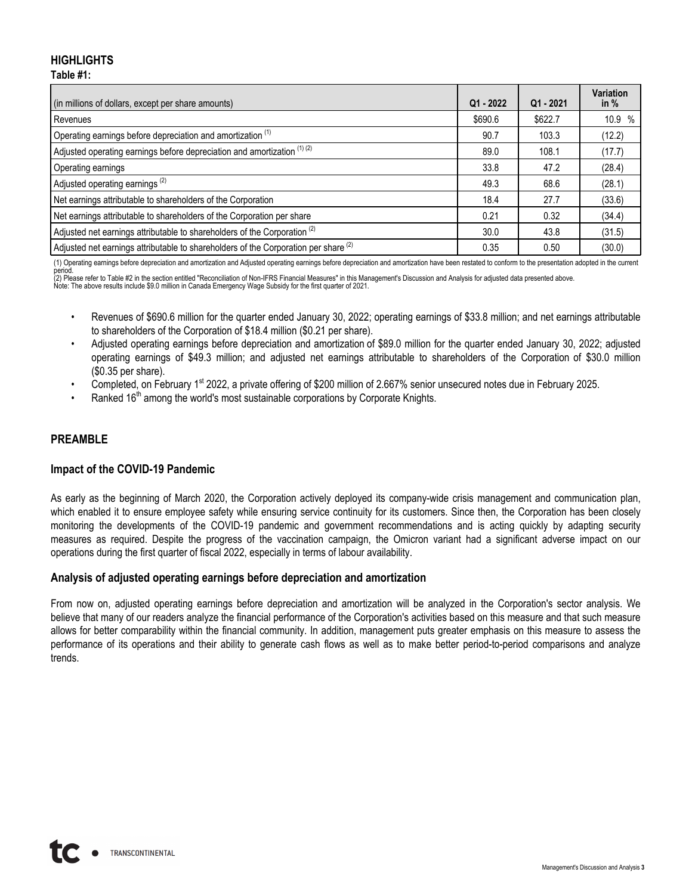## **HIGHLIGHTS Table #1:**

| (in millions of dollars, except per share amounts)                                             | Q1 - 2022 | $Q1 - 2021$ | <b>Variation</b><br>in $%$ |
|------------------------------------------------------------------------------------------------|-----------|-------------|----------------------------|
| Revenues                                                                                       | \$690.6   | \$622.7     | 10.9<br>$\%$               |
| Operating earnings before depreciation and amortization <sup>(1)</sup>                         | 90.7      | 103.3       | (12.2)                     |
| Adjusted operating earnings before depreciation and amortization (1) (2)                       | 89.0      | 108.1       | (17.7)                     |
| Operating earnings                                                                             | 33.8      | 47.2        | (28.4)                     |
| Adjusted operating earnings <sup>(2)</sup>                                                     | 49.3      | 68.6        | (28.1)                     |
| Net earnings attributable to shareholders of the Corporation                                   | 18.4      | 27.7        | (33.6)                     |
| Net earnings attributable to shareholders of the Corporation per share                         | 0.21      | 0.32        | (34.4)                     |
| Adjusted net earnings attributable to shareholders of the Corporation <sup>(2)</sup>           | 30.0      | 43.8        | (31.5)                     |
| Adjusted net earnings attributable to shareholders of the Corporation per share <sup>(2)</sup> | 0.35      | 0.50        | (30.0)                     |

(1) Operating earnings before depreciation and amortization and Adjusted operating earnings before depreciation and amortization have been restated to conform to the presentation adopted in the current

period.<br>(2) Please refer to Table #2 in the section entitled "Reconciliation of Non-IFRS Financial Measures" in this Management's Discussion and Analysis for adjusted data presented above.<br>Note: The above results include \$

- Revenues of \$690.6 million for the quarter ended January 30, 2022; operating earnings of \$33.8 million; and net earnings attributable to shareholders of the Corporation of \$18.4 million (\$0.21 per share).
- Adjusted operating earnings before depreciation and amortization of \$89.0 million for the quarter ended January 30, 2022; adjusted operating earnings of \$49.3 million; and adjusted net earnings attributable to shareholders of the Corporation of \$30.0 million (\$0.35 per share).
- Completed, on February 1<sup>st</sup> 2022, a private offering of \$200 million of 2.667% senior unsecured notes due in February 2025.
- Ranked  $16<sup>th</sup>$  among the world's most sustainable corporations by Corporate Knights.

## **PREAMBLE**

## **Impact of the COVID-19 Pandemic**

As early as the beginning of March 2020, the Corporation actively deployed its company-wide crisis management and communication plan, which enabled it to ensure employee safety while ensuring service continuity for its customers. Since then, the Corporation has been closely monitoring the developments of the COVID-19 pandemic and government recommendations and is acting quickly by adapting security measures as required. Despite the progress of the vaccination campaign, the Omicron variant had a significant adverse impact on our operations during the first quarter of fiscal 2022, especially in terms of labour availability.

## **Analysis of adjusted operating earnings before depreciation and amortization**

From now on, adjusted operating earnings before depreciation and amortization will be analyzed in the Corporation's sector analysis. We believe that many of our readers analyze the financial performance of the Corporation's activities based on this measure and that such measure allows for better comparability within the financial community. In addition, management puts greater emphasis on this measure to assess the performance of its operations and their ability to generate cash flows as well as to make better period-to-period comparisons and analyze trends.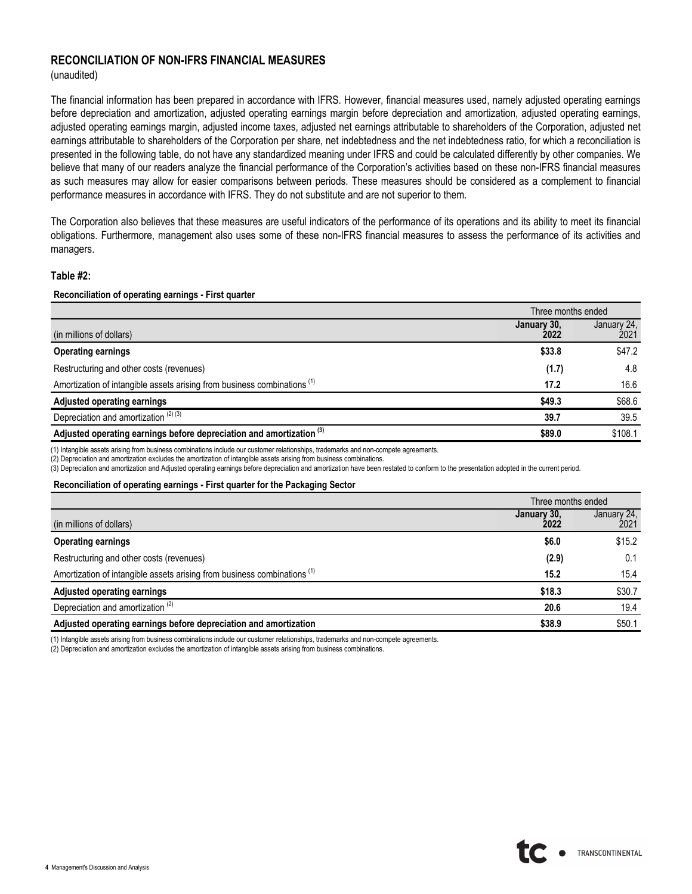## **RECONCILIATION OF NON-IFRS FINANCIAL MEASURES**

(unaudited)

The financial information has been prepared in accordance with IFRS. However, financial measures used, namely adjusted operating earnings before depreciation and amortization, adjusted operating earnings margin before depreciation and amortization, adjusted operating earnings, adjusted operating earnings margin, adjusted income taxes, adjusted net earnings attributable to shareholders of the Corporation, adjusted net earnings attributable to shareholders of the Corporation per share, net indebtedness and the net indebtedness ratio, for which a reconciliation is presented in the following table, do not have any standardized meaning under IFRS and could be calculated differently by other companies. We believe that many of our readers analyze the financial performance of the Corporation's activities based on these non-IFRS financial measures as such measures may allow for easier comparisons between periods. These measures should be considered as a complement to financial performance measures in accordance with IFRS. They do not substitute and are not superior to them.

The Corporation also believes that these measures are useful indicators of the performance of its operations and its ability to meet its financial obligations. Furthermore, management also uses some of these non-IFRS financial measures to assess the performance of its activities and managers.

### **Table #2:**

### **Reconciliation of operating earnings - First quarter**

|                                                                                     | Three months ended  |                     |
|-------------------------------------------------------------------------------------|---------------------|---------------------|
| (in millions of dollars)                                                            | January 30,<br>2022 | January 24,<br>2021 |
| <b>Operating earnings</b>                                                           | \$33.8              | \$47.2              |
| Restructuring and other costs (revenues)                                            | (1.7)               | 4.8                 |
| Amortization of intangible assets arising from business combinations <sup>(1)</sup> | 17.2                | 16.6                |
| <b>Adjusted operating earnings</b>                                                  | \$49.3              | \$68.6              |
| Depreciation and amortization $(2)$ (3)                                             | 39.7                | 39.5                |
| Adjusted operating earnings before depreciation and amortization <sup>(3)</sup>     | \$89.0              | \$108.1             |

(1) Intangible assets arising from business combinations include our customer relationships, trademarks and non-compete agreements.

(2) Depreciation and amortization excludes the amortization of intangible assets arising from business combinations.

(3) Depreciation and amortization and Adjusted operating earnings before depreciation and amortization have been restated to conform to the presentation adopted in the current period.

#### **Reconciliation of operating earnings - First quarter for the Packaging Sector**

|                                                                                     | Three months ended  |                     |
|-------------------------------------------------------------------------------------|---------------------|---------------------|
| (in millions of dollars)                                                            | January 30.<br>2022 | January 24,<br>2021 |
| <b>Operating earnings</b>                                                           | \$6.0               | \$15.2              |
| Restructuring and other costs (revenues)                                            | (2.9)               | 0.1                 |
| Amortization of intangible assets arising from business combinations <sup>(1)</sup> | 15.2                | 15.4                |
| Adjusted operating earnings                                                         | \$18.3              | \$30.7              |
| Depreciation and amortization <sup>(2)</sup>                                        | 20.6                | 19.4                |
| Adjusted operating earnings before depreciation and amortization                    | \$38.9              | \$50.1              |

(1) Intangible assets arising from business combinations include our customer relationships, trademarks and non-compete agreements.

(2) Depreciation and amortization excludes the amortization of intangible assets arising from business combinations.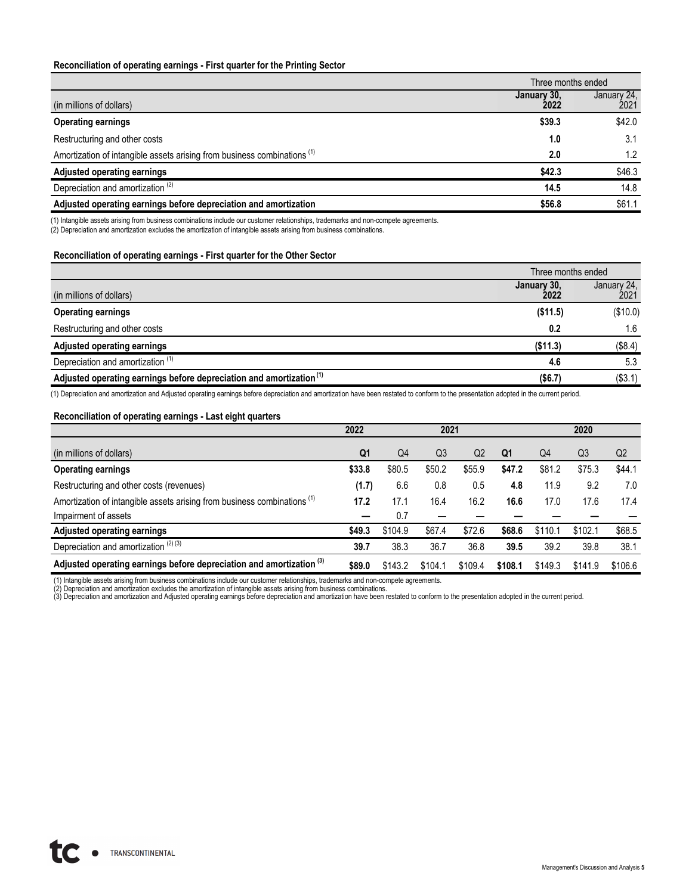#### **Reconciliation of operating earnings - First quarter for the Printing Sector**

|                                                                                     | Three months ended  |                     |  |  |
|-------------------------------------------------------------------------------------|---------------------|---------------------|--|--|
| (in millions of dollars)                                                            | January 30,<br>2022 | January 24,<br>2021 |  |  |
| <b>Operating earnings</b>                                                           | \$39.3              | \$42.0              |  |  |
| Restructuring and other costs                                                       | 1.0                 | 3.1                 |  |  |
| Amortization of intangible assets arising from business combinations <sup>(1)</sup> | 2.0                 | 1.2                 |  |  |
| <b>Adjusted operating earnings</b>                                                  | \$42.3              | \$46.3              |  |  |
| Depreciation and amortization <sup>(2)</sup>                                        | 14.5                | 14.8                |  |  |
| Adjusted operating earnings before depreciation and amortization                    | \$56.8              | \$61.1              |  |  |

(1) Intangible assets arising from business combinations include our customer relationships, trademarks and non-compete agreements.

(2) Depreciation and amortization excludes the amortization of intangible assets arising from business combinations.

#### **Reconciliation of operating earnings - First quarter for the Other Sector**

|                                                                                 | Three months ended  |                     |  |
|---------------------------------------------------------------------------------|---------------------|---------------------|--|
| (in millions of dollars)                                                        | January 30,<br>2022 | January 24,<br>2021 |  |
| <b>Operating earnings</b>                                                       | (\$11.5)            | (\$10.0)            |  |
| Restructuring and other costs                                                   | 0.2                 | 1.6                 |  |
| Adjusted operating earnings                                                     | (\$11.3)            | (\$8.4)             |  |
| Depreciation and amortization <sup>(1)</sup>                                    | 4.6                 | 5.3                 |  |
| Adjusted operating earnings before depreciation and amortization <sup>(1)</sup> | (\$6.7)             | (\$3.1)             |  |

(1) Depreciation and amortization and Adjusted operating earnings before depreciation and amortization have been restated to conform to the presentation adopted in the current period.

## **Reconciliation of operating earnings - Last eight quarters**

|                                                                                     | 2022           |                | 2021           |         |         |         | 2020           |                |
|-------------------------------------------------------------------------------------|----------------|----------------|----------------|---------|---------|---------|----------------|----------------|
| (in millions of dollars)                                                            | Q <sub>1</sub> | Q <sub>4</sub> | Q <sub>3</sub> | Q2      | Q1      | Q4      | Q <sub>3</sub> | Q <sub>2</sub> |
| <b>Operating earnings</b>                                                           | \$33.8         | \$80.5         | \$50.2         | \$55.9  | \$47.2  | \$81.2  | \$75.3         | \$44.1         |
| Restructuring and other costs (revenues)                                            | (1.7)          | 6.6            | 0.8            | 0.5     | 4.8     | 11.9    | 9.2            | 7.0            |
| Amortization of intangible assets arising from business combinations <sup>(1)</sup> | 17.2           | 17.1           | 16.4           | 16.2    | 16.6    | 17.0    | 17.6           | 17.4           |
| Impairment of assets                                                                |                | 0.7            |                |         |         |         |                |                |
| <b>Adjusted operating earnings</b>                                                  | \$49.3         | \$104.9        | \$67.4         | \$72.6  | \$68.6  | \$110.1 | \$102.1        | \$68.5         |
| Depreciation and amortization $(2)$ $(3)$                                           | 39.7           | 38.3           | 36.7           | 36.8    | 39.5    | 39.2    | 39.8           | 38.1           |
| Adjusted operating earnings before depreciation and amortization <sup>(3)</sup>     | \$89.0         | \$143.2        | \$104.1        | \$109.4 | \$108.1 | \$149.3 | \$141.9        | \$106.6        |

(1) Intangible assets arising from business combinations include our customer relationships, trademarks and non-compete agreements.<br>(2) Depreciation and amortization excludes the amortization of intangible assets arising f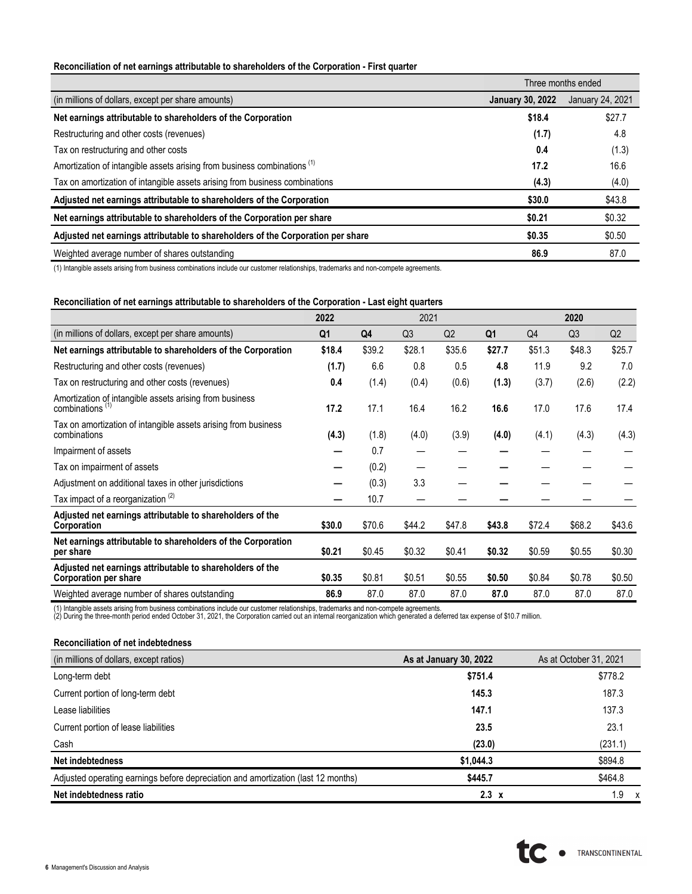### **Reconciliation of net earnings attributable to shareholders of the Corporation - First quarter**

|                                                                                     | Three months ended      |                  |  |
|-------------------------------------------------------------------------------------|-------------------------|------------------|--|
| (in millions of dollars, except per share amounts)                                  | <b>January 30, 2022</b> | January 24, 2021 |  |
| Net earnings attributable to shareholders of the Corporation                        | \$18.4                  | \$27.7           |  |
| Restructuring and other costs (revenues)                                            | (1.7)                   | 4.8              |  |
| Tax on restructuring and other costs                                                | 0.4                     | (1.3)            |  |
| Amortization of intangible assets arising from business combinations <sup>(1)</sup> | 17.2                    | 16.6             |  |
| Tax on amortization of intangible assets arising from business combinations         | (4.3)                   | (4.0)            |  |
| Adjusted net earnings attributable to shareholders of the Corporation               | \$30.0                  | \$43.8           |  |
| Net earnings attributable to shareholders of the Corporation per share              | \$0.21                  | \$0.32           |  |
| Adjusted net earnings attributable to shareholders of the Corporation per share     | \$0.35                  | \$0.50           |  |
| Weighted average number of shares outstanding                                       | 86.9                    | 87.0             |  |

(1) Intangible assets arising from business combinations include our customer relationships, trademarks and non-compete agreements.

### **Reconciliation of net earnings attributable to shareholders of the Corporation - Last eight quarters**

|                                                                                           | 2022           |        | 2021           |                |                |                | 2020           |        |
|-------------------------------------------------------------------------------------------|----------------|--------|----------------|----------------|----------------|----------------|----------------|--------|
| (in millions of dollars, except per share amounts)                                        | Q <sub>1</sub> | Q4     | Q <sub>3</sub> | Q <sub>2</sub> | Q <sub>1</sub> | Q <sub>4</sub> | Q <sub>3</sub> | Q2     |
| Net earnings attributable to shareholders of the Corporation                              | \$18.4         | \$39.2 | \$28.1         | \$35.6         | \$27.7         | \$51.3         | \$48.3         | \$25.7 |
| Restructuring and other costs (revenues)                                                  | (1.7)          | 6.6    | 0.8            | 0.5            | 4.8            | 11.9           | 9.2            | 7.0    |
| Tax on restructuring and other costs (revenues)                                           | 0.4            | (1.4)  | (0.4)          | (0.6)          | (1.3)          | (3.7)          | (2.6)          | (2.2)  |
| Amortization of intangible assets arising from business<br>combinations <sup>(1)</sup>    | 17.2           | 17.1   | 16.4           | 16.2           | 16.6           | 17.0           | 17.6           | 17.4   |
| Tax on amortization of intangible assets arising from business<br>combinations            | (4.3)          | (1.8)  | (4.0)          | (3.9)          | (4.0)          | (4.1)          | (4.3)          | (4.3)  |
| Impairment of assets                                                                      |                | 0.7    |                |                |                |                |                |        |
| Tax on impairment of assets                                                               |                | (0.2)  |                |                |                |                |                |        |
| Adjustment on additional taxes in other jurisdictions                                     |                | (0.3)  | 3.3            |                |                |                |                |        |
| Tax impact of a reorganization <sup>(2)</sup>                                             |                | 10.7   |                |                |                |                |                |        |
| Adjusted net earnings attributable to shareholders of the<br>Corporation                  | \$30.0         | \$70.6 | \$44.2         | \$47.8         | \$43.8         | \$72.4         | \$68.2         | \$43.6 |
| Net earnings attributable to shareholders of the Corporation<br>per share                 | \$0.21         | \$0.45 | \$0.32         | \$0.41         | \$0.32         | \$0.59         | \$0.55         | \$0.30 |
| Adjusted net earnings attributable to shareholders of the<br><b>Corporation per share</b> | \$0.35         | \$0.81 | \$0.51         | \$0.55         | \$0.50         | \$0.84         | \$0.78         | \$0.50 |
| Weighted average number of shares outstanding                                             | 86.9           | 87.0   | 87.0           | 87.0           | 87.0           | 87.0           | 87.0           | 87.0   |

(1) Intangible assets arising from business combinations include our customer relationships, trademarks and non-compete agreements.<br>(2) During the three-month period ended October 31, 2021, the Corporation carried out an i

### **Reconciliation of net indebtedness**

| (in millions of dollars, except ratios)                                           | As at January 30, 2022 | As at October 31, 2021           |
|-----------------------------------------------------------------------------------|------------------------|----------------------------------|
| Long-term debt                                                                    | \$751.4                | \$778.2                          |
| Current portion of long-term debt                                                 | 145.3                  | 187.3                            |
| Lease liabilities                                                                 | 147.1                  | 137.3                            |
| Current portion of lease liabilities                                              | 23.5                   | 23.1                             |
| Cash                                                                              | (23.0)                 | (231.1)                          |
| Net indebtedness                                                                  | \$1,044.3              | \$894.8                          |
| Adjusted operating earnings before depreciation and amortization (last 12 months) | \$445.7                | \$464.8                          |
| Net indebtedness ratio                                                            | $2.3 \times$           | !.9<br>$\boldsymbol{\mathsf{x}}$ |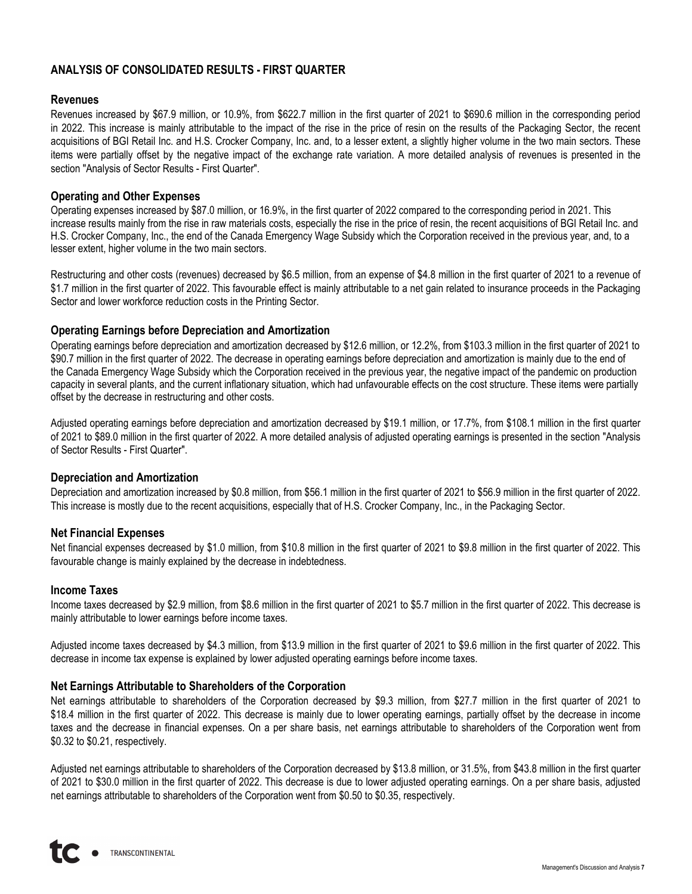## **ANALYSIS OF CONSOLIDATED RESULTS - FIRST QUARTER**

## **Revenues**

Revenues increased by \$67.9 million, or 10.9%, from \$622.7 million in the first quarter of 2021 to \$690.6 million in the corresponding period in 2022. This increase is mainly attributable to the impact of the rise in the price of resin on the results of the Packaging Sector, the recent acquisitions of BGI Retail Inc. and H.S. Crocker Company, Inc. and, to a lesser extent, a slightly higher volume in the two main sectors. These items were partially offset by the negative impact of the exchange rate variation. A more detailed analysis of revenues is presented in the section "Analysis of Sector Results - First Quarter".

## **Operating and Other Expenses**

Operating expenses increased by \$87.0 million, or 16.9%, in the first quarter of 2022 compared to the corresponding period in 2021. This increase results mainly from the rise in raw materials costs, especially the rise in the price of resin, the recent acquisitions of BGI Retail Inc. and H.S. Crocker Company, Inc., the end of the Canada Emergency Wage Subsidy which the Corporation received in the previous year, and, to a lesser extent, higher volume in the two main sectors.

Restructuring and other costs (revenues) decreased by \$6.5 million, from an expense of \$4.8 million in the first quarter of 2021 to a revenue of \$1.7 million in the first quarter of 2022. This favourable effect is mainly attributable to a net gain related to insurance proceeds in the Packaging Sector and lower workforce reduction costs in the Printing Sector.

## **Operating Earnings before Depreciation and Amortization**

Operating earnings before depreciation and amortization decreased by \$12.6 million, or 12.2%, from \$103.3 million in the first quarter of 2021 to \$90.7 million in the first quarter of 2022. The decrease in operating earnings before depreciation and amortization is mainly due to the end of the Canada Emergency Wage Subsidy which the Corporation received in the previous year, the negative impact of the pandemic on production capacity in several plants, and the current inflationary situation, which had unfavourable effects on the cost structure. These items were partially offset by the decrease in restructuring and other costs.

Adjusted operating earnings before depreciation and amortization decreased by \$19.1 million, or 17.7%, from \$108.1 million in the first quarter of 2021 to \$89.0 million in the first quarter of 2022. A more detailed analysis of adjusted operating earnings is presented in the section "Analysis of Sector Results - First Quarter".

## **Depreciation and Amortization**

Depreciation and amortization increased by \$0.8 million, from \$56.1 million in the first quarter of 2021 to \$56.9 million in the first quarter of 2022. This increase is mostly due to the recent acquisitions, especially that of H.S. Crocker Company, Inc., in the Packaging Sector.

## **Net Financial Expenses**

Net financial expenses decreased by \$1.0 million, from \$10.8 million in the first quarter of 2021 to \$9.8 million in the first quarter of 2022. This favourable change is mainly explained by the decrease in indebtedness.

## **Income Taxes**

Income taxes decreased by \$2.9 million, from \$8.6 million in the first quarter of 2021 to \$5.7 million in the first quarter of 2022. This decrease is mainly attributable to lower earnings before income taxes.

Adjusted income taxes decreased by \$4.3 million, from \$13.9 million in the first quarter of 2021 to \$9.6 million in the first quarter of 2022. This decrease in income tax expense is explained by lower adjusted operating earnings before income taxes.

## **Net Earnings Attributable to Shareholders of the Corporation**

Net earnings attributable to shareholders of the Corporation decreased by \$9.3 million, from \$27.7 million in the first quarter of 2021 to \$18.4 million in the first quarter of 2022. This decrease is mainly due to lower operating earnings, partially offset by the decrease in income taxes and the decrease in financial expenses. On a per share basis, net earnings attributable to shareholders of the Corporation went from \$0.32 to \$0.21, respectively.

Adjusted net earnings attributable to shareholders of the Corporation decreased by \$13.8 million, or 31.5%, from \$43.8 million in the first quarter of 2021 to \$30.0 million in the first quarter of 2022. This decrease is due to lower adjusted operating earnings. On a per share basis, adjusted net earnings attributable to shareholders of the Corporation went from \$0.50 to \$0.35, respectively.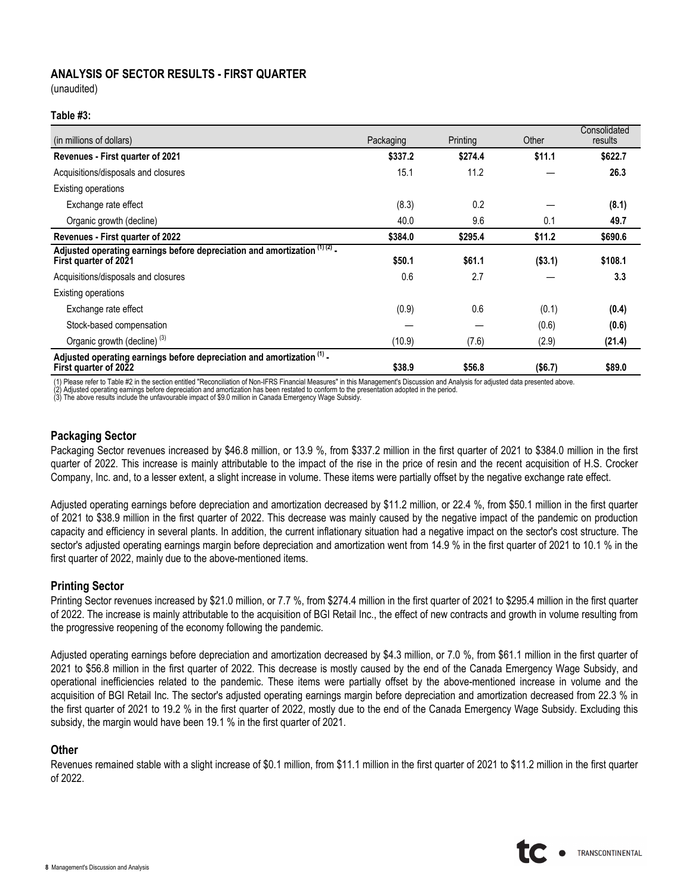## **ANALYSIS OF SECTOR RESULTS - FIRST QUARTER**

(unaudited)

### **Table #3:**

| (in millions of dollars)                                                                            | Packaging | Printing | Other   | Consolidated<br>results |
|-----------------------------------------------------------------------------------------------------|-----------|----------|---------|-------------------------|
| <b>Revenues - First quarter of 2021</b>                                                             | \$337.2   | \$274.4  | \$11.1  | \$622.7                 |
| Acquisitions/disposals and closures                                                                 | 15.1      | 11.2     |         | 26.3                    |
| Existing operations                                                                                 |           |          |         |                         |
| Exchange rate effect                                                                                | (8.3)     | 0.2      |         | (8.1)                   |
| Organic growth (decline)                                                                            | 40.0      | 9.6      | 0.1     | 49.7                    |
| <b>Revenues - First quarter of 2022</b>                                                             | \$384.0   | \$295.4  | \$11.2  | \$690.6                 |
| Adjusted operating earnings before depreciation and amortization (1) (2) -<br>First quarter of 2021 | \$50.1    | \$61.1   | (\$3.1) | \$108.1                 |
| Acquisitions/disposals and closures                                                                 | 0.6       | 2.7      |         | 3.3                     |
| Existing operations                                                                                 |           |          |         |                         |
| Exchange rate effect                                                                                | (0.9)     | 0.6      | (0.1)   | (0.4)                   |
| Stock-based compensation                                                                            |           |          | (0.6)   | (0.6)                   |
| Organic growth (decline) <sup>(3)</sup>                                                             | (10.9)    | (7.6)    | (2.9)   | (21.4)                  |
| Adjusted operating earnings before depreciation and amortization (1) -<br>First quarter of 2022     | \$38.9    | \$56.8   | (\$6.7) | \$89.0                  |

(1) Please refer to Table #2 in the section entitled "Reconciliation of Non-IFRS Financial Measures" in this Management's Discussion and Analysis for adjusted data presented above.

(2) Adjusted operating earnings before depreciation and amortization has been restated to conform to the presentation adopted in the period.<br>(3) The above results include the unfavourable impact of \$9.0 million in Canada E

## **Packaging Sector**

Packaging Sector revenues increased by \$46.8 million, or 13.9 %, from \$337.2 million in the first quarter of 2021 to \$384.0 million in the first quarter of 2022. This increase is mainly attributable to the impact of the rise in the price of resin and the recent acquisition of H.S. Crocker Company, Inc. and, to a lesser extent, a slight increase in volume. These items were partially offset by the negative exchange rate effect.

Adjusted operating earnings before depreciation and amortization decreased by \$11.2 million, or 22.4 %, from \$50.1 million in the first quarter of 2021 to \$38.9 million in the first quarter of 2022. This decrease was mainly caused by the negative impact of the pandemic on production capacity and efficiency in several plants. In addition, the current inflationary situation had a negative impact on the sector's cost structure. The sector's adjusted operating earnings margin before depreciation and amortization went from 14.9 % in the first quarter of 2021 to 10.1 % in the first quarter of 2022, mainly due to the above-mentioned items.

## **Printing Sector**

Printing Sector revenues increased by \$21.0 million, or 7.7 %, from \$274.4 million in the first quarter of 2021 to \$295.4 million in the first quarter of 2022. The increase is mainly attributable to the acquisition of BGI Retail Inc., the effect of new contracts and growth in volume resulting from the progressive reopening of the economy following the pandemic.

Adjusted operating earnings before depreciation and amortization decreased by \$4.3 million, or 7.0 %, from \$61.1 million in the first quarter of 2021 to \$56.8 million in the first quarter of 2022. This decrease is mostly caused by the end of the Canada Emergency Wage Subsidy, and operational inefficiencies related to the pandemic. These items were partially offset by the above-mentioned increase in volume and the acquisition of BGI Retail Inc. The sector's adjusted operating earnings margin before depreciation and amortization decreased from 22.3 % in the first quarter of 2021 to 19.2 % in the first quarter of 2022, mostly due to the end of the Canada Emergency Wage Subsidy. Excluding this subsidy, the margin would have been 19.1 % in the first quarter of 2021.

### **Other**

Revenues remained stable with a slight increase of \$0.1 million, from \$11.1 million in the first quarter of 2021 to \$11.2 million in the first quarter of 2022.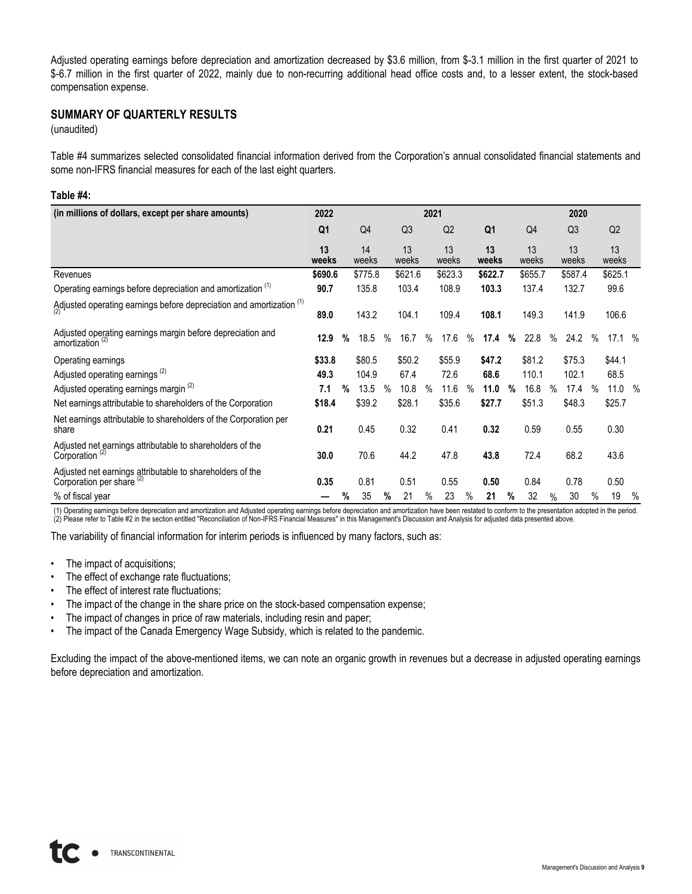Adjusted operating earnings before depreciation and amortization decreased by \$3.6 million, from \$-3.1 million in the first quarter of 2021 to \$-6.7 million in the first quarter of 2022, mainly due to non-recurring additional head office costs and, to a lesser extent, the stock-based compensation expense.

## **SUMMARY OF QUARTERLY RESULTS**

(unaudited)

Table #4 summarizes selected consolidated financial information derived from the Corporation's annual consolidated financial statements and some non-IFRS financial measures for each of the last eight quarters.

### **Table #4:**

| (in millions of dollars, except per share amounts)                                                   | 2022           |   |                |      |                | 2021 |             |      |                |      |             |      | 2020           |      |             |      |
|------------------------------------------------------------------------------------------------------|----------------|---|----------------|------|----------------|------|-------------|------|----------------|------|-------------|------|----------------|------|-------------|------|
|                                                                                                      | Q <sub>1</sub> |   | Q <sub>4</sub> |      | Q <sub>3</sub> |      | Q2          |      | Q <sub>1</sub> |      | Q4          |      | Q <sub>3</sub> |      | Q2          |      |
|                                                                                                      | 13<br>weeks    |   | 14<br>weeks    |      | 13<br>weeks    |      | 13<br>weeks |      | 13<br>weeks    |      | 13<br>weeks |      | 13<br>weeks    |      | 13<br>weeks |      |
| Revenues                                                                                             | \$690.6        |   | \$775.8        |      | \$621.6        |      | \$623.3     |      | \$622.7        |      | \$655.7     |      | \$587.4        |      | \$625.1     |      |
| Operating earnings before depreciation and amortization <sup>(1)</sup>                               | 90.7           |   | 135.8          |      | 103.4          |      | 108.9       |      | 103.3          |      | 137.4       |      | 132.7          |      | 99.6        |      |
| Adjusted operating earnings before depreciation and amortization $(1)$                               | 89.0           |   | 143.2          |      | 104.1          |      | 109.4       |      | 108.1          |      | 149.3       |      | 141.9          |      | 106.6       |      |
| Adjusted operating earnings margin before depreciation and<br>amortization <sup>(2)</sup>            | 12.9           | % | 18.5           | $\%$ | 16.7           | $\%$ | 17.6        | $\%$ | 17.4           | %    | 22.8        | $\%$ | 24.2           | $\%$ | 17.1%       |      |
| Operating earnings                                                                                   | \$33.8         |   | \$80.5         |      | \$50.2         |      | \$55.9      |      | \$47.2         |      | \$81.2      |      | \$75.3         |      | \$44.1      |      |
| Adjusted operating earnings <sup>(2)</sup>                                                           | 49.3           |   | 104.9          |      | 67.4           |      | 72.6        |      | 68.6           |      | 110.1       |      | 102.1          |      | 68.5        |      |
| Adjusted operating earnings margin <sup>(2)</sup>                                                    | 7.1            | % | 13.5           | $\%$ | 10.8           | $\%$ | 11.6        | $\%$ | 11.0           | %    | 16.8        | $\%$ | 17.4           | $\%$ | 11.0        | $\%$ |
| Net earnings attributable to shareholders of the Corporation                                         | \$18.4         |   | \$39.2         |      | \$28.1         |      | \$35.6      |      | \$27.7         |      | \$51.3      |      | \$48.3         |      | \$25.7      |      |
| Net earnings attributable to shareholders of the Corporation per<br>share                            | 0.21           |   | 0.45           |      | 0.32           |      | 0.41        |      | 0.32           |      | 0.59        |      | 0.55           |      | 0.30        |      |
| Adjusted net earnings attributable to shareholders of the<br>Corporation <sup><math>(2)</math></sup> | 30.0           |   | 70.6           |      | 44.2           |      | 47.8        |      | 43.8           |      | 72.4        |      | 68.2           |      | 43.6        |      |
| Adjusted net earnings attributable to shareholders of the<br>Corporation per share <sup>(2)</sup>    | 0.35           |   | 0.81           |      | 0.51           |      | 0.55        |      | 0.50           |      | 0.84        |      | 0.78           |      | 0.50        |      |
| % of fiscal year                                                                                     |                | % | 35             | %    | 21             | $\%$ | 23          | $\%$ | 21             | $\%$ | 32          | $\%$ | 30             | $\%$ | 19          | $\%$ |

(1) Operating earnings before depreciation and amortization and Adjusted operating earnings before depreciation and amortization have been restated to conform to the presentation adopted in the period.<br>(2) Please refer to

The variability of financial information for interim periods is influenced by many factors, such as:

- The impact of acquisitions;
- The effect of exchange rate fluctuations;
- The effect of interest rate fluctuations;
- The impact of the change in the share price on the stock-based compensation expense;
- The impact of changes in price of raw materials, including resin and paper;
- The impact of the Canada Emergency Wage Subsidy, which is related to the pandemic.

Excluding the impact of the above-mentioned items, we can note an organic growth in revenues but a decrease in adjusted operating earnings before depreciation and amortization.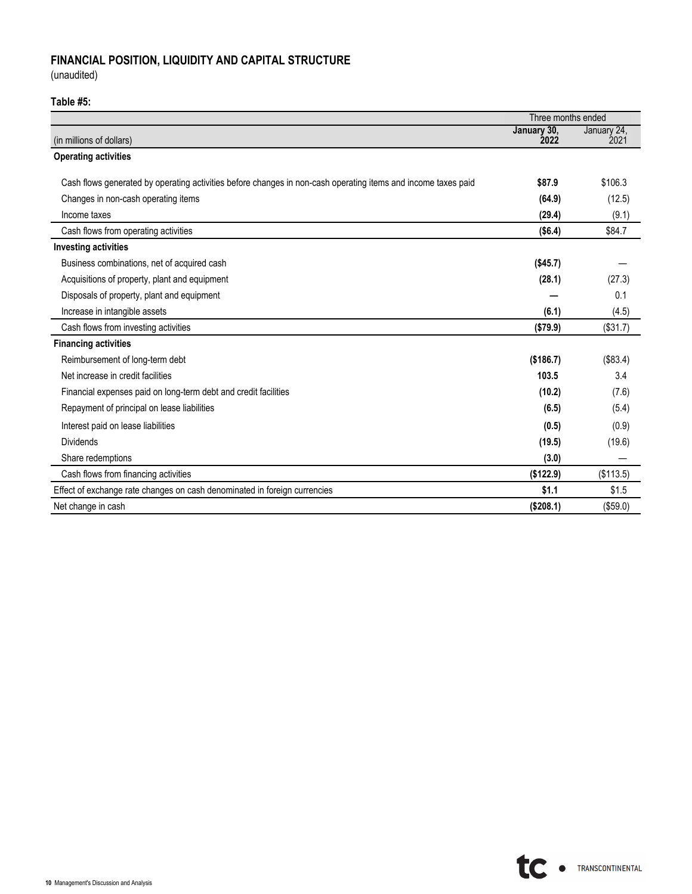# **FINANCIAL POSITION, LIQUIDITY AND CAPITAL STRUCTURE**

(unaudited)

## **Table #5:**

|                                                                                                               | Three months ended  |                     |
|---------------------------------------------------------------------------------------------------------------|---------------------|---------------------|
| (in millions of dollars)                                                                                      | January 30,<br>2022 | January 24,<br>2021 |
| <b>Operating activities</b>                                                                                   |                     |                     |
| Cash flows generated by operating activities before changes in non-cash operating items and income taxes paid | \$87.9              | \$106.3             |
|                                                                                                               |                     |                     |
| Changes in non-cash operating items                                                                           | (64.9)              | (12.5)              |
| Income taxes                                                                                                  | (29.4)              | (9.1)               |
| Cash flows from operating activities                                                                          | (\$6.4)             | \$84.7              |
| <b>Investing activities</b>                                                                                   |                     |                     |
| Business combinations, net of acquired cash                                                                   | (\$45.7)            |                     |
| Acquisitions of property, plant and equipment                                                                 | (28.1)              | (27.3)              |
| Disposals of property, plant and equipment                                                                    |                     | 0.1                 |
| Increase in intangible assets                                                                                 | (6.1)               | (4.5)               |
| Cash flows from investing activities                                                                          | (\$79.9)            | (\$31.7)            |
| <b>Financing activities</b>                                                                                   |                     |                     |
| Reimbursement of long-term debt                                                                               | (\$186.7)           | (\$83.4)            |
| Net increase in credit facilities                                                                             | 103.5               | 3.4                 |
| Financial expenses paid on long-term debt and credit facilities                                               | (10.2)              | (7.6)               |
| Repayment of principal on lease liabilities                                                                   | (6.5)               | (5.4)               |
| Interest paid on lease liabilities                                                                            | (0.5)               | (0.9)               |
| <b>Dividends</b>                                                                                              | (19.5)              | (19.6)              |
| Share redemptions                                                                                             | (3.0)               |                     |
| Cash flows from financing activities                                                                          | (\$122.9)           | (\$113.5)           |
| Effect of exchange rate changes on cash denominated in foreign currencies                                     | \$1.1               | \$1.5               |
| Net change in cash                                                                                            | (\$208.1)           | (\$59.0)            |

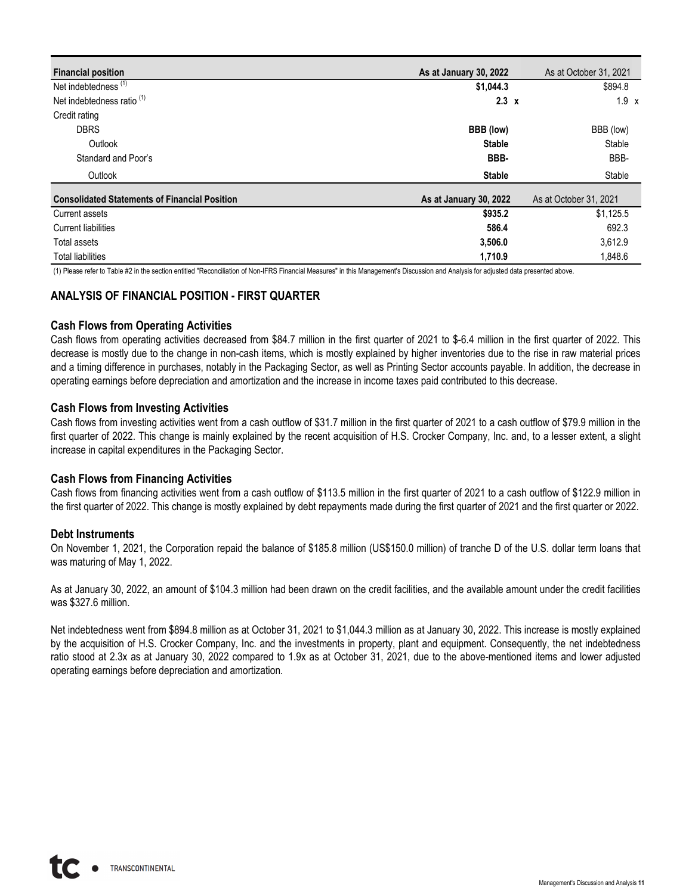| <b>Financial position</b>                            | As at January 30, 2022 | As at October 31, 2021 |
|------------------------------------------------------|------------------------|------------------------|
| Net indebtedness <sup>(1)</sup>                      | \$1,044.3              | \$894.8                |
| Net indebtedness ratio <sup>(1)</sup>                | $2.3 \times$           | $1.9 \times$           |
| Credit rating                                        |                        |                        |
| <b>DBRS</b>                                          | BBB (low)              | BBB (low)              |
| Outlook                                              | <b>Stable</b>          | Stable                 |
| Standard and Poor's                                  | BBB-                   | BBB-                   |
| Outlook                                              | <b>Stable</b>          | Stable                 |
| <b>Consolidated Statements of Financial Position</b> | As at January 30, 2022 | As at October 31, 2021 |
| Current assets                                       | \$935.2                | \$1,125.5              |
| Current liabilities                                  | 586.4                  | 692.3                  |
| Total assets                                         | 3,506.0                | 3,612.9                |
| <b>Total liabilities</b>                             | 1,710.9                | 1,848.6                |

(1) Please refer to Table #2 in the section entitled "Reconciliation of Non-IFRS Financial Measures" in this Management's Discussion and Analysis for adjusted data presented above.

## **ANALYSIS OF FINANCIAL POSITION - FIRST QUARTER**

## **Cash Flows from Operating Activities**

Cash flows from operating activities decreased from \$84.7 million in the first quarter of 2021 to \$-6.4 million in the first quarter of 2022. This decrease is mostly due to the change in non-cash items, which is mostly explained by higher inventories due to the rise in raw material prices and a timing difference in purchases, notably in the Packaging Sector, as well as Printing Sector accounts payable. In addition, the decrease in operating earnings before depreciation and amortization and the increase in income taxes paid contributed to this decrease.

## **Cash Flows from Investing Activities**

Cash flows from investing activities went from a cash outflow of \$31.7 million in the first quarter of 2021 to a cash outflow of \$79.9 million in the first quarter of 2022. This change is mainly explained by the recent acquisition of H.S. Crocker Company, Inc. and, to a lesser extent, a slight increase in capital expenditures in the Packaging Sector.

## **Cash Flows from Financing Activities**

Cash flows from financing activities went from a cash outflow of \$113.5 million in the first quarter of 2021 to a cash outflow of \$122.9 million in the first quarter of 2022. This change is mostly explained by debt repayments made during the first quarter of 2021 and the first quarter or 2022.

### **Debt Instruments**

On November 1, 2021, the Corporation repaid the balance of \$185.8 million (US\$150.0 million) of tranche D of the U.S. dollar term loans that was maturing of May 1, 2022.

As at January 30, 2022, an amount of \$104.3 million had been drawn on the credit facilities, and the available amount under the credit facilities was \$327.6 million.

Net indebtedness went from \$894.8 million as at October 31, 2021 to \$1,044.3 million as at January 30, 2022. This increase is mostly explained by the acquisition of H.S. Crocker Company, Inc. and the investments in property, plant and equipment. Consequently, the net indebtedness ratio stood at 2.3x as at January 30, 2022 compared to 1.9x as at October 31, 2021, due to the above-mentioned items and lower adjusted operating earnings before depreciation and amortization.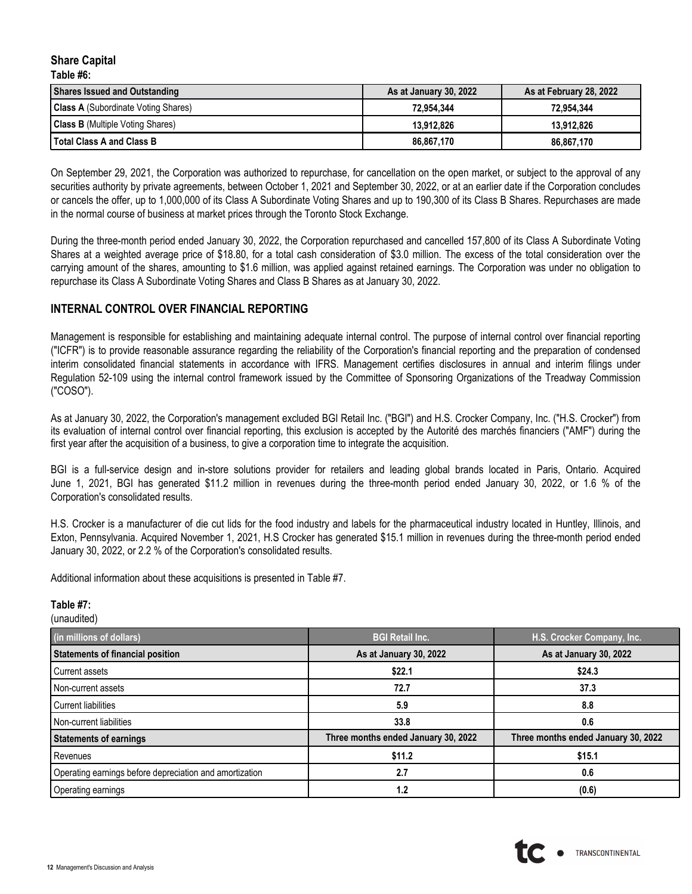### **Share Capital Table #6:**

| <b>Shares Issued and Outstanding</b>       | As at January 30, 2022 | As at February 28, 2022 |
|--------------------------------------------|------------------------|-------------------------|
| <b>Class A</b> (Subordinate Voting Shares) | 72.954.344             | 72.954.344              |
| <b>Class B</b> (Multiple Voting Shares)    | 13.912.826             | 13.912.826              |
| Total Class A and Class B                  | 86.867.170             | 86.867.170              |

On September 29, 2021, the Corporation was authorized to repurchase, for cancellation on the open market, or subject to the approval of any securities authority by private agreements, between October 1, 2021 and September 30, 2022, or at an earlier date if the Corporation concludes or cancels the offer, up to 1,000,000 of its Class A Subordinate Voting Shares and up to 190,300 of its Class B Shares. Repurchases are made in the normal course of business at market prices through the Toronto Stock Exchange.

During the three-month period ended January 30, 2022, the Corporation repurchased and cancelled 157,800 of its Class A Subordinate Voting Shares at a weighted average price of \$18.80, for a total cash consideration of \$3.0 million. The excess of the total consideration over the carrying amount of the shares, amounting to \$1.6 million, was applied against retained earnings. The Corporation was under no obligation to repurchase its Class A Subordinate Voting Shares and Class B Shares as at January 30, 2022.

## **INTERNAL CONTROL OVER FINANCIAL REPORTING**

Management is responsible for establishing and maintaining adequate internal control. The purpose of internal control over financial reporting ("ICFR") is to provide reasonable assurance regarding the reliability of the Corporation's financial reporting and the preparation of condensed interim consolidated financial statements in accordance with IFRS. Management certifies disclosures in annual and interim filings under Regulation 52-109 using the internal control framework issued by the Committee of Sponsoring Organizations of the Treadway Commission ("COSO").

As at January 30, 2022, the Corporation's management excluded BGI Retail Inc. ("BGI") and H.S. Crocker Company, Inc. ("H.S. Crocker") from its evaluation of internal control over financial reporting, this exclusion is accepted by the Autorité des marchés financiers ("AMF") during the first year after the acquisition of a business, to give a corporation time to integrate the acquisition.

BGI is a full-service design and in-store solutions provider for retailers and leading global brands located in Paris, Ontario. Acquired June 1, 2021, BGI has generated \$11.2 million in revenues during the three-month period ended January 30, 2022, or 1.6 % of the Corporation's consolidated results.

H.S. Crocker is a manufacturer of die cut lids for the food industry and labels for the pharmaceutical industry located in Huntley, Illinois, and Exton, Pennsylvania. Acquired November 1, 2021, H.S Crocker has generated \$15.1 million in revenues during the three-month period ended January 30, 2022, or 2.2 % of the Corporation's consolidated results.

Additional information about these acquisitions is presented in Table #7.

### **Table #7:**

(unaudited)

| (in millions of dollars)                                | <b>BGI Retail Inc.</b>              | H.S. Crocker Company, Inc.          |
|---------------------------------------------------------|-------------------------------------|-------------------------------------|
| Statements of financial position                        | As at January 30, 2022              | As at January 30, 2022              |
| Current assets                                          | \$22.1                              | \$24.3                              |
| Non-current assets                                      | 72.7                                | 37.3                                |
| Current liabilities                                     | 5.9                                 | 8.8                                 |
| Non-current liabilities                                 | 33.8                                | 0.6                                 |
| <b>Statements of earnings</b>                           | Three months ended January 30, 2022 | Three months ended January 30, 2022 |
| Revenues                                                | \$11.2                              | \$15.1                              |
| Operating earnings before depreciation and amortization | 2.7                                 | 0.6                                 |
| Operating earnings                                      | 1.2                                 | (0.6)                               |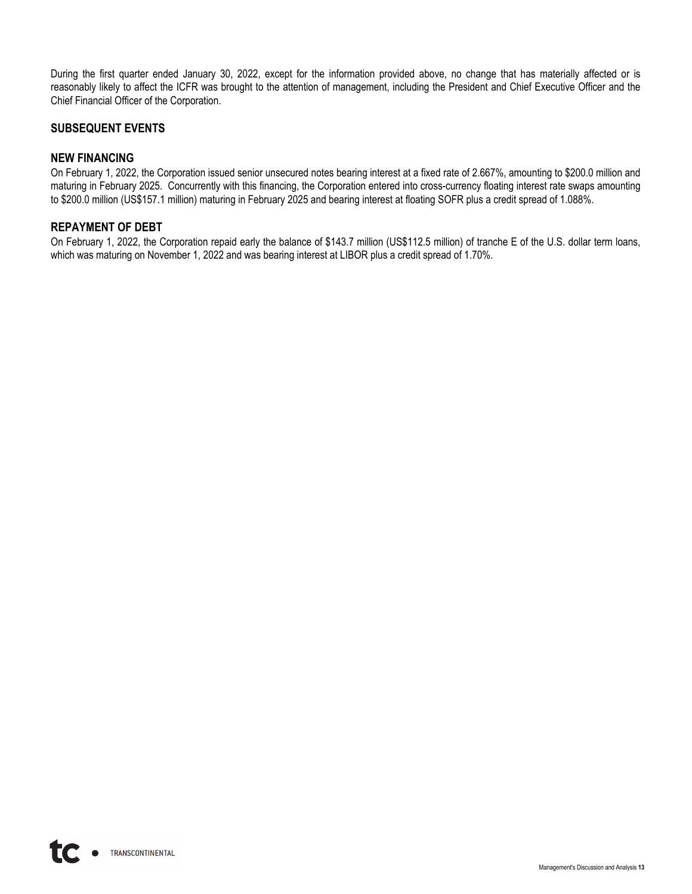During the first quarter ended January 30, 2022, except for the information provided above, no change that has materially affected or is reasonably likely to affect the ICFR was brought to the attention of management, including the President and Chief Executive Officer and the Chief Financial Officer of the Corporation.

## **SUBSEQUENT EVENTS**

## **NEW FINANCING**

On February 1, 2022, the Corporation issued senior unsecured notes bearing interest at a fixed rate of 2.667%, amounting to \$200.0 million and maturing in February 2025. Concurrently with this financing, the Corporation entered into cross-currency floating interest rate swaps amounting to \$200.0 million (US\$157.1 million) maturing in February 2025 and bearing interest at floating SOFR plus a credit spread of 1.088%.

## **REPAYMENT OF DEBT**

On February 1, 2022, the Corporation repaid early the balance of \$143.7 million (US\$112.5 million) of tranche E of the U.S. dollar term loans, which was maturing on November 1, 2022 and was bearing interest at LIBOR plus a credit spread of 1.70%.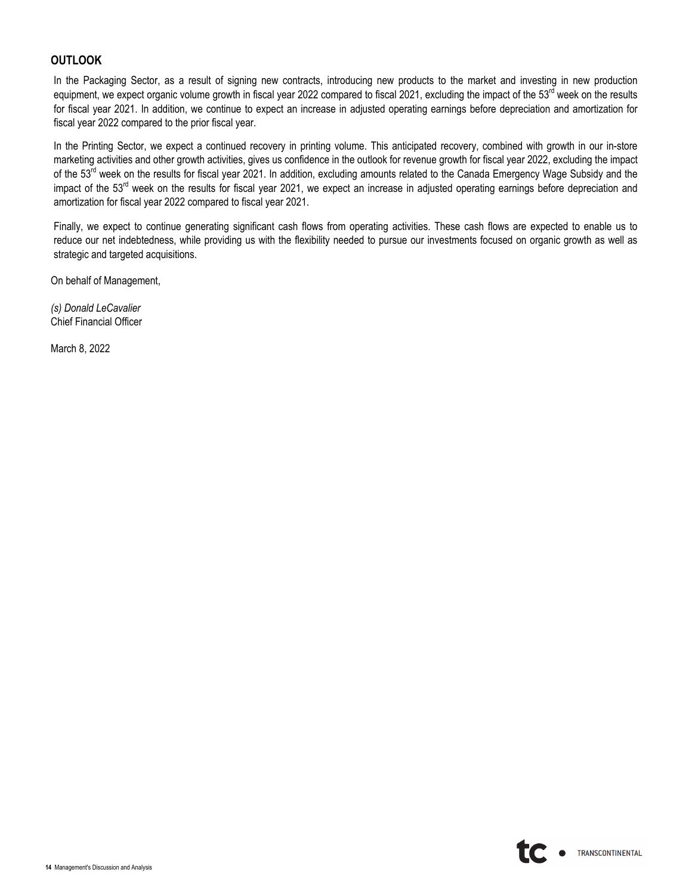## **OUTLOOK**

In the Packaging Sector, as a result of signing new contracts, introducing new products to the market and investing in new production equipment, we expect organic volume growth in fiscal year 2022 compared to fiscal 2021, excluding the impact of the 53<sup>rd</sup> week on the results for fiscal year 2021. In addition, we continue to expect an increase in adjusted operating earnings before depreciation and amortization for fiscal year 2022 compared to the prior fiscal year.

In the Printing Sector, we expect a continued recovery in printing volume. This anticipated recovery, combined with growth in our in-store marketing activities and other growth activities, gives us confidence in the outlook for revenue growth for fiscal year 2022, excluding the impact of the 53<sup>rd</sup> week on the results for fiscal year 2021. In addition, excluding amounts related to the Canada Emergency Wage Subsidy and the impact of the 53<sup>rd</sup> week on the results for fiscal year 2021, we expect an increase in adjusted operating earnings before depreciation and amortization for fiscal year 2022 compared to fiscal year 2021.

Finally, we expect to continue generating significant cash flows from operating activities. These cash flows are expected to enable us to reduce our net indebtedness, while providing us with the flexibility needed to pursue our investments focused on organic growth as well as strategic and targeted acquisitions.

On behalf of Management,

*(s) Donald LeCavalier* Chief Financial Officer

March 8, 2022

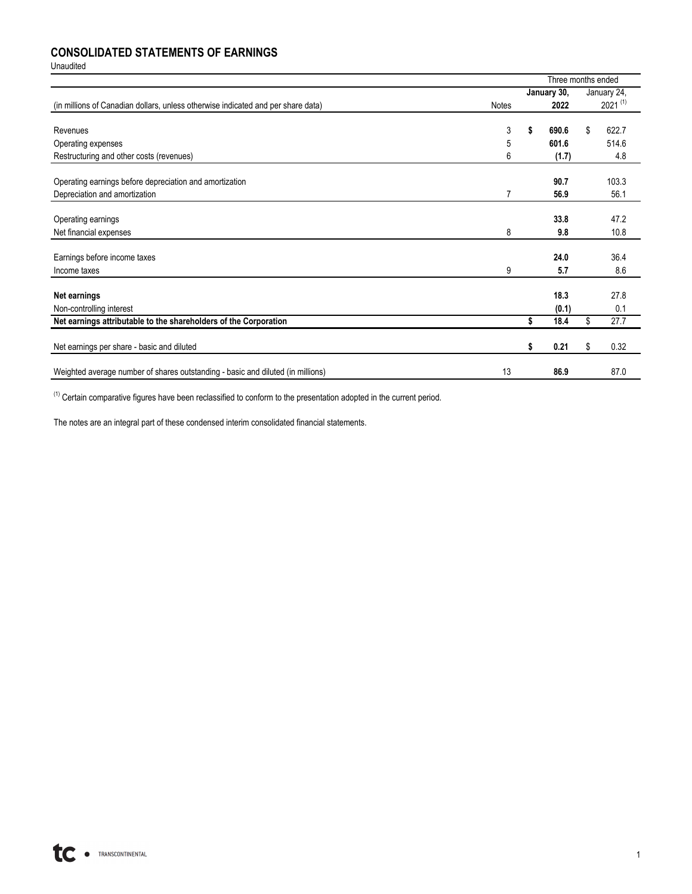## **CONSOLIDATED STATEMENTS OF EARNINGS**

Unaudited

|                                                                                  |                | Three months ended |              |
|----------------------------------------------------------------------------------|----------------|--------------------|--------------|
|                                                                                  |                | January 30,        | January 24,  |
| (in millions of Canadian dollars, unless otherwise indicated and per share data) | <b>Notes</b>   | 2022               | $2021^{(1)}$ |
|                                                                                  |                |                    |              |
| Revenues                                                                         | 3              | \$<br>690.6        | \$<br>622.7  |
| Operating expenses                                                               | 5              | 601.6              | 514.6        |
| Restructuring and other costs (revenues)                                         | 6              | (1.7)              | 4.8          |
| Operating earnings before depreciation and amortization                          |                | 90.7               | 103.3        |
|                                                                                  |                |                    |              |
| Depreciation and amortization                                                    | $\overline{7}$ | 56.9               | 56.1         |
| Operating earnings                                                               |                | 33.8               | 47.2         |
|                                                                                  |                |                    |              |
| Net financial expenses                                                           | 8              | 9.8                | 10.8         |
|                                                                                  |                |                    | 36.4         |
| Earnings before income taxes                                                     |                | 24.0               |              |
| Income taxes                                                                     | 9              | 5.7                | 8.6          |
|                                                                                  |                |                    |              |
| Net earnings                                                                     |                | 18.3               | 27.8         |
| Non-controlling interest                                                         |                | (0.1)              | 0.1          |
| Net earnings attributable to the shareholders of the Corporation                 |                | \$<br>18.4         | \$<br>27.7   |
|                                                                                  |                |                    |              |
| Net earnings per share - basic and diluted                                       |                | \$<br>0.21         | \$<br>0.32   |
| Weighted average number of shares outstanding - basic and diluted (in millions)  | 13             | 86.9               | 87.0         |
|                                                                                  |                |                    |              |

 $(1)$  Certain comparative figures have been reclassified to conform to the presentation adopted in the current period.

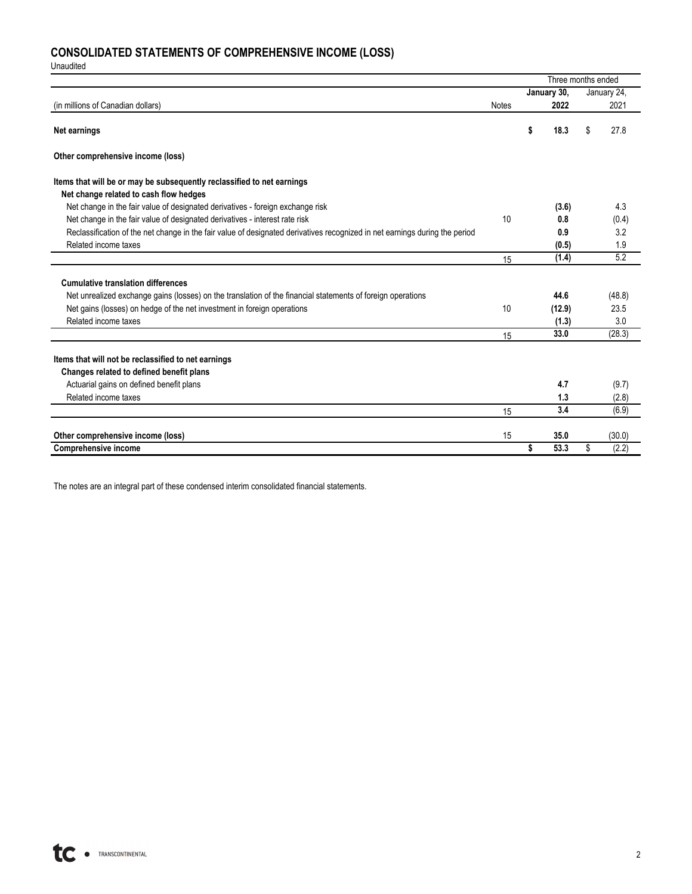# **CONSOLIDATED STATEMENTS OF COMPREHENSIVE INCOME (LOSS)**

Unaudited

|                                                                                                                             |              | Three months ended |             |
|-----------------------------------------------------------------------------------------------------------------------------|--------------|--------------------|-------------|
|                                                                                                                             |              | January 30,        | January 24, |
| (in millions of Canadian dollars)                                                                                           | <b>Notes</b> | 2022               | 2021        |
| Net earnings                                                                                                                |              | \$<br>18.3         | \$<br>27.8  |
| Other comprehensive income (loss)                                                                                           |              |                    |             |
| Items that will be or may be subsequently reclassified to net earnings                                                      |              |                    |             |
| Net change related to cash flow hedges                                                                                      |              |                    |             |
| Net change in the fair value of designated derivatives - foreign exchange risk                                              |              | (3.6)              | 4.3         |
| Net change in the fair value of designated derivatives - interest rate risk                                                 | 10           | 0.8                | (0.4)       |
| Reclassification of the net change in the fair value of designated derivatives recognized in net earnings during the period |              | 0.9                | 3.2         |
| Related income taxes                                                                                                        |              | (0.5)              | 1.9         |
|                                                                                                                             | 15           | (1.4)              | 5.2         |
| <b>Cumulative translation differences</b>                                                                                   |              |                    |             |
| Net unrealized exchange gains (losses) on the translation of the financial statements of foreign operations                 |              | 44.6               | (48.8)      |
| Net gains (losses) on hedge of the net investment in foreign operations                                                     | 10           | (12.9)             | 23.5        |
| Related income taxes                                                                                                        |              | (1.3)              | 3.0         |
|                                                                                                                             | 15           | 33.0               | (28.3)      |
|                                                                                                                             |              |                    |             |
| Items that will not be reclassified to net earnings                                                                         |              |                    |             |
| Changes related to defined benefit plans                                                                                    |              |                    |             |
| Actuarial gains on defined benefit plans                                                                                    |              | 4.7                | (9.7)       |
| Related income taxes                                                                                                        |              | 1.3                | (2.8)       |
|                                                                                                                             | 15           | 3.4                | (6.9)       |
| Other comprehensive income (loss)                                                                                           | 15           | 35.0               | (30.0)      |
| <b>Comprehensive income</b>                                                                                                 |              | \$<br>53.3         | \$<br>(2.2) |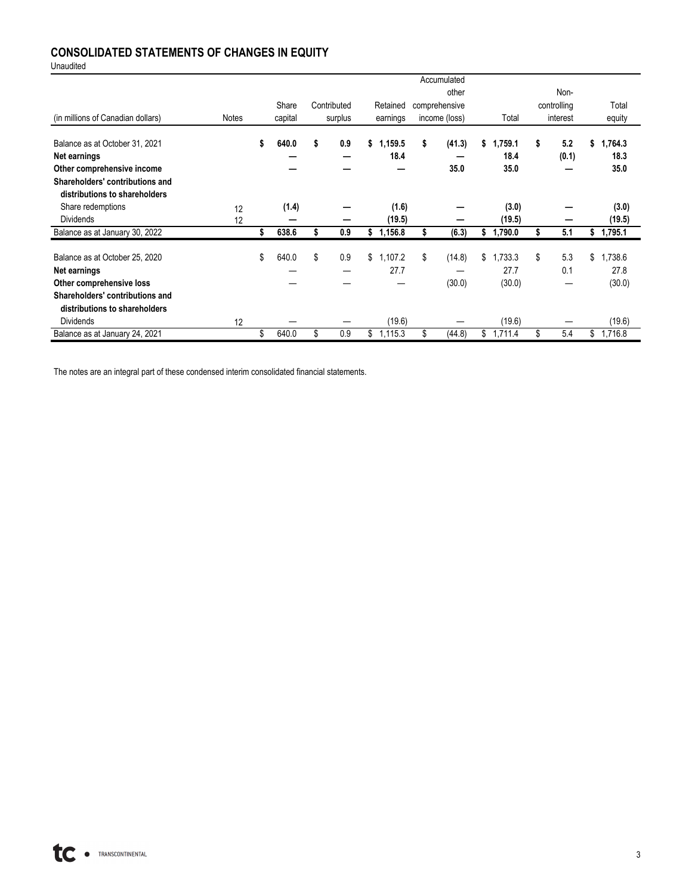# **CONSOLIDATED STATEMENTS OF CHANGES IN EQUITY**

Unaudited

|                                   |              |    |         |             |               | Accumulated   |    |         |             |               |
|-----------------------------------|--------------|----|---------|-------------|---------------|---------------|----|---------|-------------|---------------|
|                                   |              |    |         |             |               | other         |    |         | Non-        |               |
|                                   |              |    | Share   | Contributed | Retained      | comprehensive |    |         | controlling | Total         |
| (in millions of Canadian dollars) | <b>Notes</b> |    | capital | surplus     | earnings      | income (loss) |    | Total   | interest    | equity        |
|                                   |              |    |         |             |               |               |    |         |             |               |
| Balance as at October 31, 2021    |              | \$ | 640.0   | \$<br>0.9   | \$<br>1,159.5 | \$<br>(41.3)  | S. | .759.1  | \$<br>5.2   | \$<br>1,764.3 |
| Net earnings                      |              |    |         |             | 18.4          |               |    | 18.4    | (0.1)       | 18.3          |
| Other comprehensive income        |              |    |         |             |               | 35.0          |    | 35.0    |             | 35.0          |
| Shareholders' contributions and   |              |    |         |             |               |               |    |         |             |               |
| distributions to shareholders     |              |    |         |             |               |               |    |         |             |               |
| Share redemptions                 | 12           |    | (1.4)   |             | (1.6)         |               |    | (3.0)   |             | (3.0)         |
| <b>Dividends</b>                  | 12           |    |         |             | (19.5)        |               |    | (19.5)  |             | (19.5)        |
| Balance as at January 30, 2022    |              | S  | 638.6   | 0.9         | \$<br>1,156.8 | (6.3)         |    | ,790.0  | 5.1         | \$<br>1,795.1 |
|                                   |              |    | 640.0   | \$<br>0.9   | \$            | \$            | \$ | .733.3  | \$<br>5.3   | \$            |
| Balance as at October 25, 2020    |              | \$ |         |             | 1,107.2       | (14.8)        |    |         |             | 1,738.6       |
| Net earnings                      |              |    |         |             | 27.7          |               |    | 27.7    | 0.1         | 27.8          |
| Other comprehensive loss          |              |    |         |             |               | (30.0)        |    | (30.0)  |             | (30.0)        |
| Shareholders' contributions and   |              |    |         |             |               |               |    |         |             |               |
| distributions to shareholders     |              |    |         |             |               |               |    |         |             |               |
| <b>Dividends</b>                  | 12           |    |         |             | (19.6)        |               |    | (19.6)  |             | (19.6)        |
| Balance as at January 24, 2021    |              | \$ | 640.0   | \$<br>0.9   | \$<br>1,115.3 | \$<br>(44.8)  | \$ | 1,711.4 | \$<br>5.4   | \$<br>1,716.8 |

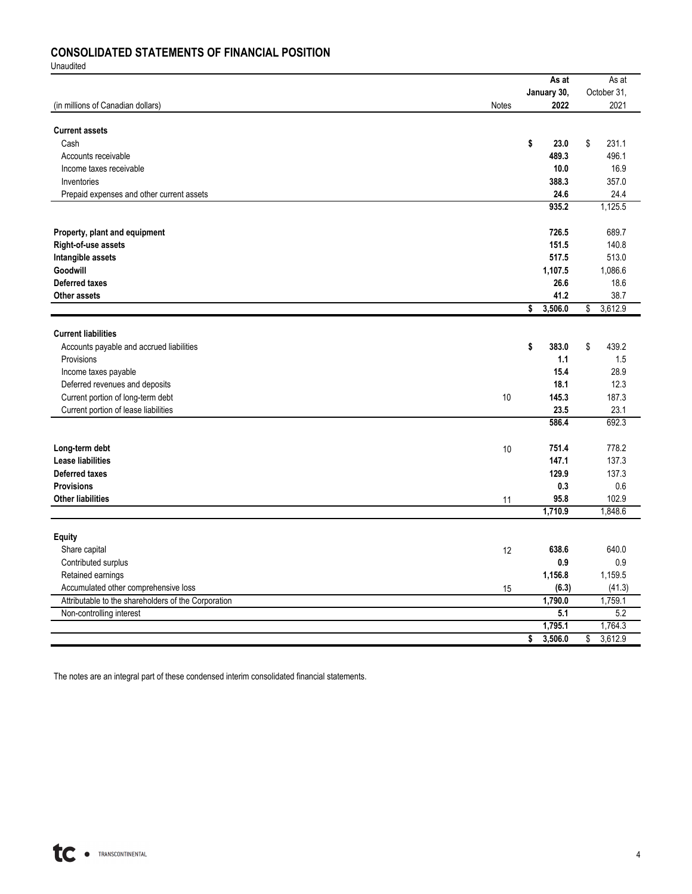# **CONSOLIDATED STATEMENTS OF FINANCIAL POSITION**

Unaudited

|                                                     |       |    | As at         | As at           |
|-----------------------------------------------------|-------|----|---------------|-----------------|
|                                                     |       |    | January 30,   | October 31,     |
| (in millions of Canadian dollars)                   | Notes |    | 2022          | 2021            |
| <b>Current assets</b>                               |       |    |               |                 |
| Cash                                                |       | \$ | 23.0          | \$<br>231.1     |
| Accounts receivable                                 |       |    | 489.3         | 496.1           |
| Income taxes receivable                             |       |    | 10.0          | 16.9            |
|                                                     |       |    |               |                 |
| Inventories                                         |       |    | 388.3         | 357.0           |
| Prepaid expenses and other current assets           |       |    | 24.6<br>935.2 | 24.4<br>1,125.5 |
|                                                     |       |    |               |                 |
| Property, plant and equipment                       |       |    | 726.5         | 689.7           |
| Right-of-use assets                                 |       |    | 151.5         | 140.8           |
| Intangible assets                                   |       |    | 517.5         | 513.0           |
| Goodwill                                            |       |    | 1,107.5       | 1,086.6         |
| <b>Deferred taxes</b>                               |       |    | 26.6          | 18.6            |
| <b>Other assets</b>                                 |       |    | 41.2          | 38.7            |
|                                                     |       | \$ | 3,506.0       | \$<br>3,612.9   |
|                                                     |       |    |               |                 |
| <b>Current liabilities</b>                          |       |    |               |                 |
| Accounts payable and accrued liabilities            |       | S  | 383.0         | \$<br>439.2     |
| Provisions                                          |       |    | 1.1           | 1.5             |
| Income taxes payable                                |       |    | 15.4          | 28.9            |
| Deferred revenues and deposits                      |       |    | 18.1          | 12.3            |
| Current portion of long-term debt                   | 10    |    | 145.3         | 187.3           |
| Current portion of lease liabilities                |       |    | 23.5          | 23.1            |
|                                                     |       |    | 586.4         | 692.3           |
|                                                     |       |    | 751.4         |                 |
| Long-term debt                                      | 10    |    |               | 778.2           |
| <b>Lease liabilities</b>                            |       |    | 147.1         | 137.3           |
| <b>Deferred taxes</b>                               |       |    | 129.9         | 137.3           |
| <b>Provisions</b>                                   |       |    | 0.3           | 0.6             |
| <b>Other liabilities</b>                            | 11    |    | 95.8          | 102.9           |
|                                                     |       |    | 1,710.9       | 1,848.6         |
| <b>Equity</b>                                       |       |    |               |                 |
| Share capital                                       | 12    |    | 638.6         | 640.0           |
| Contributed surplus                                 |       |    | 0.9           | 0.9             |
| Retained earnings                                   |       |    | 1,156.8       | 1,159.5         |
|                                                     |       |    |               |                 |
| Accumulated other comprehensive loss                | 15    |    | (6.3)         | (41.3)          |
| Attributable to the shareholders of the Corporation |       |    | 1,790.0       | 1,759.1         |
| Non-controlling interest                            |       |    | 5.1           | 5.2             |
|                                                     |       |    | 1,795.1       | 1,764.3         |
|                                                     |       | \$ | 3,506.0       | \$<br>3,612.9   |

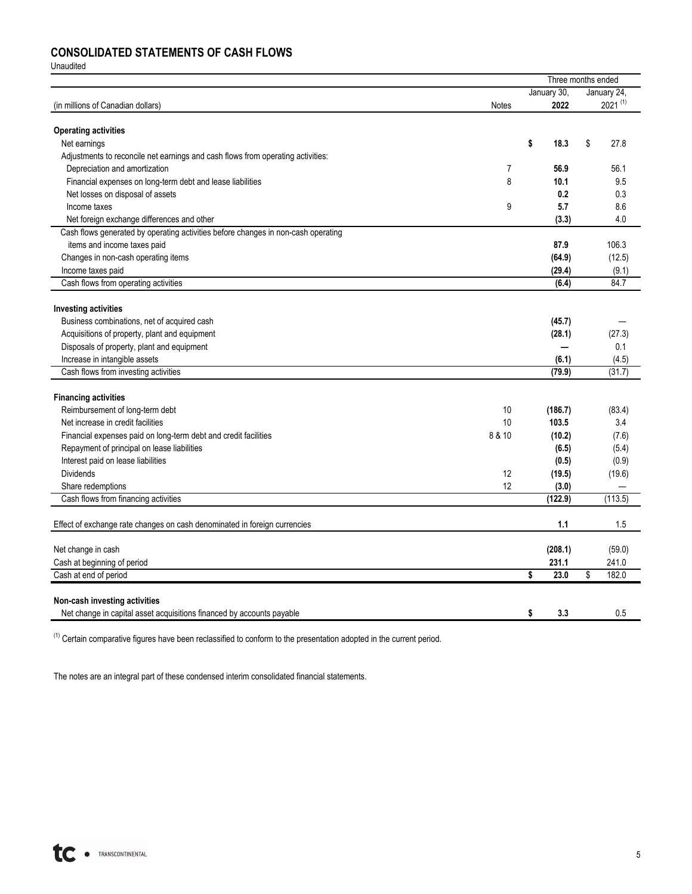## **CONSOLIDATED STATEMENTS OF CASH FLOWS**

Unaudited

|                                                                                   |        |             | Three months ended |
|-----------------------------------------------------------------------------------|--------|-------------|--------------------|
|                                                                                   |        | January 30, | January 24,        |
| (in millions of Canadian dollars)                                                 | Notes  | 2022        | $2021^{(1)}$       |
| <b>Operating activities</b>                                                       |        |             |                    |
| Net earnings                                                                      |        | \$<br>18.3  | \$<br>27.8         |
| Adjustments to reconcile net earnings and cash flows from operating activities:   |        |             |                    |
| Depreciation and amortization                                                     | 7      | 56.9        | 56.1               |
| Financial expenses on long-term debt and lease liabilities                        | 8      | 10.1        | 9.5                |
| Net losses on disposal of assets                                                  |        | 0.2         | 0.3                |
| Income taxes                                                                      | 9      | 5.7         | 8.6                |
| Net foreign exchange differences and other                                        |        | (3.3)       | 4.0                |
| Cash flows generated by operating activities before changes in non-cash operating |        |             |                    |
| items and income taxes paid                                                       |        | 87.9        | 106.3              |
| Changes in non-cash operating items                                               |        | (64.9)      | (12.5)             |
| Income taxes paid                                                                 |        | (29.4)      | (9.1)              |
| Cash flows from operating activities                                              |        | (6.4)       | 84.7               |
|                                                                                   |        |             |                    |
| <b>Investing activities</b>                                                       |        |             |                    |
| Business combinations, net of acquired cash                                       |        | (45.7)      |                    |
| Acquisitions of property, plant and equipment                                     |        | (28.1)      | (27.3)             |
| Disposals of property, plant and equipment                                        |        |             | 0.1                |
| Increase in intangible assets                                                     |        | (6.1)       | (4.5)              |
| Cash flows from investing activities                                              |        | (79.9)      | (31.7)             |
| <b>Financing activities</b>                                                       |        |             |                    |
| Reimbursement of long-term debt                                                   | 10     | (186.7)     | (83.4)             |
| Net increase in credit facilities                                                 | 10     | 103.5       | 3.4                |
| Financial expenses paid on long-term debt and credit facilities                   | 8 & 10 | (10.2)      | (7.6)              |
| Repayment of principal on lease liabilities                                       |        | (6.5)       | (5.4)              |
| Interest paid on lease liabilities                                                |        | (0.5)       | (0.9)              |
| <b>Dividends</b>                                                                  | 12     | (19.5)      | (19.6)             |
| Share redemptions                                                                 | 12     | (3.0)       |                    |
| Cash flows from financing activities                                              |        | (122.9)     | (113.5)            |
|                                                                                   |        |             |                    |
| Effect of exchange rate changes on cash denominated in foreign currencies         |        | 1.1         | 1.5                |
| Net change in cash                                                                |        | (208.1)     | (59.0)             |
| Cash at beginning of period                                                       |        | 231.1       | 241.0              |
| Cash at end of period                                                             |        | 23.0<br>\$  | \$<br>182.0        |
|                                                                                   |        |             |                    |
| Non-cash investing activities                                                     |        |             |                    |
| Net change in capital asset acquisitions financed by accounts payable             |        | \$<br>3.3   | 0.5                |

 $(1)$  Certain comparative figures have been reclassified to conform to the presentation adopted in the current period.

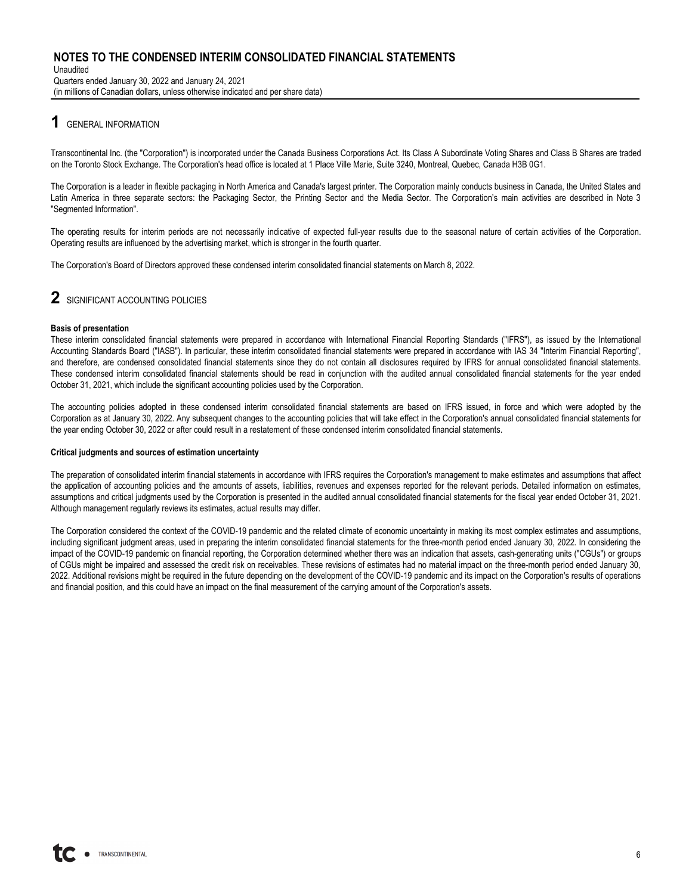Unaudited Quarters ended January 30, 2022 and January 24, 2021 (in millions of Canadian dollars, unless otherwise indicated and per share data)

## **1** GENERAL INFORMATION

Transcontinental Inc. (the "Corporation") is incorporated under the Canada Business Corporations Act. Its Class A Subordinate Voting Shares and Class B Shares are traded on the Toronto Stock Exchange. The Corporation's head office is located at 1 Place Ville Marie, Suite 3240, Montreal, Quebec, Canada H3B 0G1.

The Corporation is a leader in flexible packaging in North America and Canada's largest printer. The Corporation mainly conducts business in Canada, the United States and Latin America in three separate sectors: the Packaging Sector, the Printing Sector and the Media Sector. The Corporation's main activities are described in Note 3 "Segmented Information".

The operating results for interim periods are not necessarily indicative of expected full-year results due to the seasonal nature of certain activities of the Corporation. Operating results are influenced by the advertising market, which is stronger in the fourth quarter.

The Corporation's Board of Directors approved these condensed interim consolidated financial statements on March 8, 2022.

# **2** SIGNIFICANT ACCOUNTING POLICIES

#### **Basis of presentation**

These interim consolidated financial statements were prepared in accordance with International Financial Reporting Standards ("IFRS"), as issued by the International Accounting Standards Board ("IASB"). In particular, these interim consolidated financial statements were prepared in accordance with IAS 34 "Interim Financial Reporting", and therefore, are condensed consolidated financial statements since they do not contain all disclosures required by IFRS for annual consolidated financial statements. These condensed interim consolidated financial statements should be read in conjunction with the audited annual consolidated financial statements for the year ended October 31, 2021, which include the significant accounting policies used by the Corporation.

The accounting policies adopted in these condensed interim consolidated financial statements are based on IFRS issued, in force and which were adopted by the Corporation as at January 30, 2022. Any subsequent changes to the accounting policies that will take effect in the Corporation's annual consolidated financial statements for the year ending October 30, 2022 or after could result in a restatement of these condensed interim consolidated financial statements.

#### **Critical judgments and sources of estimation uncertainty**

The preparation of consolidated interim financial statements in accordance with IFRS requires the Corporation's management to make estimates and assumptions that affect the application of accounting policies and the amounts of assets, liabilities, revenues and expenses reported for the relevant periods. Detailed information on estimates, assumptions and critical judgments used by the Corporation is presented in the audited annual consolidated financial statements for the fiscal year ended October 31, 2021. Although management regularly reviews its estimates, actual results may differ.

The Corporation considered the context of the COVID-19 pandemic and the related climate of economic uncertainty in making its most complex estimates and assumptions, including significant judgment areas, used in preparing the interim consolidated financial statements for the three-month period ended January 30, 2022. In considering the impact of the COVID-19 pandemic on financial reporting, the Corporation determined whether there was an indication that assets, cash-generating units ("CGUs") or groups of CGUs might be impaired and assessed the credit risk on receivables. These revisions of estimates had no material impact on the three-month period ended January 30, 2022. Additional revisions might be required in the future depending on the development of the COVID-19 pandemic and its impact on the Corporation's results of operations and financial position, and this could have an impact on the final measurement of the carrying amount of the Corporation's assets.

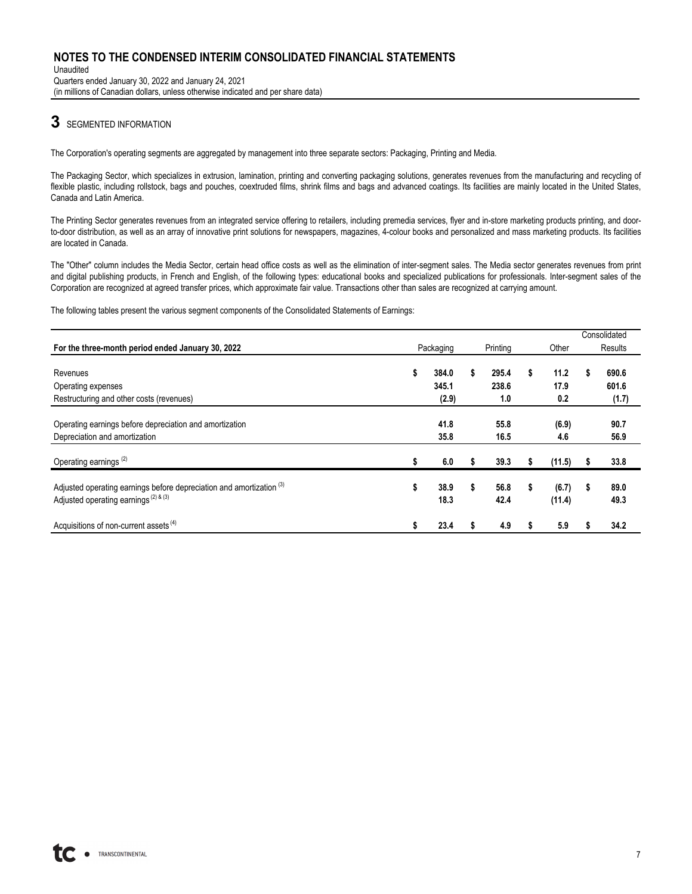Unaudited Quarters ended January 30, 2022 and January 24, 2021 (in millions of Canadian dollars, unless otherwise indicated and per share data)

## **3** SEGMENTED INFORMATION

The Corporation's operating segments are aggregated by management into three separate sectors: Packaging, Printing and Media.

The Packaging Sector, which specializes in extrusion, lamination, printing and converting packaging solutions, generates revenues from the manufacturing and recycling of flexible plastic, including rollstock, bags and pouches, coextruded films, shrink films and bags and advanced coatings. Its facilities are mainly located in the United States, Canada and Latin America.

The Printing Sector generates revenues from an integrated service offering to retailers, including premedia services, flyer and in-store marketing products printing, and doorto-door distribution, as well as an array of innovative print solutions for newspapers, magazines, 4-colour books and personalized and mass marketing products. Its facilities are located in Canada.

The "Other" column includes the Media Sector, certain head office costs as well as the elimination of inter-segment sales. The Media sector generates revenues from print and digital publishing products, in French and English, of the following types: educational books and specialized publications for professionals. Inter-segment sales of the Corporation are recognized at agreed transfer prices, which approximate fair value. Transactions other than sales are recognized at carrying amount.

The following tables present the various segment components of the Consolidated Statements of Earnings:

|                                                                                                                              |    |                         |    |                       |    |                     |    | Consolidated            |
|------------------------------------------------------------------------------------------------------------------------------|----|-------------------------|----|-----------------------|----|---------------------|----|-------------------------|
| For the three-month period ended January 30, 2022                                                                            |    | Packaging               |    | Printing              |    | Other               |    | Results                 |
| Revenues<br>Operating expenses<br>Restructuring and other costs (revenues)                                                   | \$ | 384.0<br>345.1<br>(2.9) | \$ | 295.4<br>238.6<br>1.0 | \$ | 11.2<br>17.9<br>0.2 | S  | 690.6<br>601.6<br>(1.7) |
| Operating earnings before depreciation and amortization<br>Depreciation and amortization                                     |    | 41.8<br>35.8            |    | 55.8<br>16.5          |    | (6.9)<br>4.6        |    | 90.7<br>56.9            |
| Operating earnings <sup>(2)</sup>                                                                                            | s  | 6.0                     | s  | 39.3                  | s  | (11.5)              | s. | 33.8                    |
| Adjusted operating earnings before depreciation and amortization <sup>(3)</sup><br>Adjusted operating earnings $(2)$ & $(3)$ | \$ | 38.9<br>18.3            | \$ | 56.8<br>42.4          | \$ | (6.7)<br>(11.4)     | s  | 89.0<br>49.3            |
| Acquisitions of non-current assets <sup>(4)</sup>                                                                            | ъ  | 23.4                    |    | 4.9                   |    | 5.9                 |    | 34.2                    |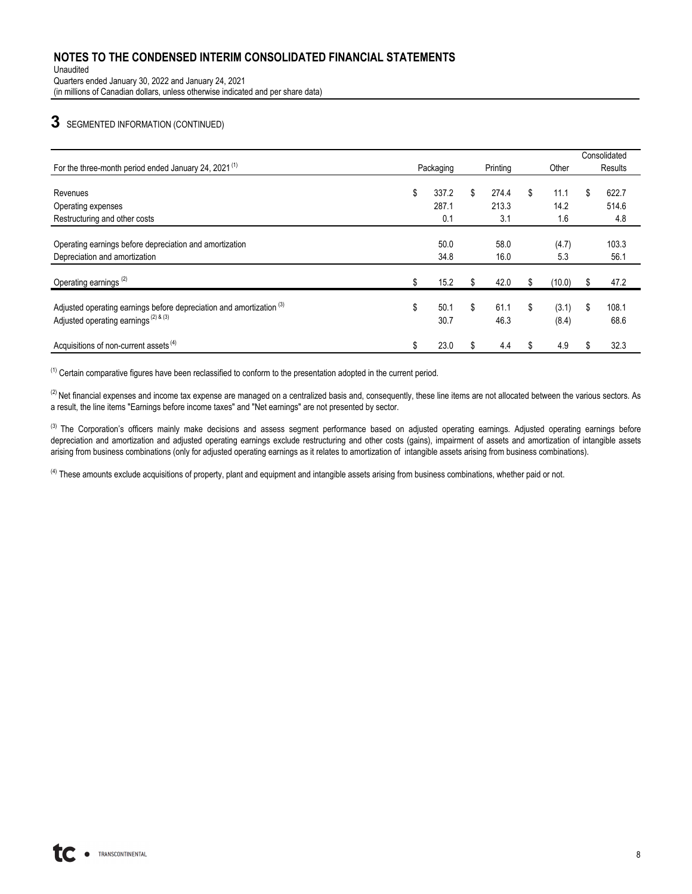Unaudited Quarters ended January 30, 2022 and January 24, 2021 (in millions of Canadian dollars, unless otherwise indicated and per share data)

## **3** SEGMENTED INFORMATION (CONTINUED)

|                                                                                                                              |                    |                    |    |                | Consolidated        |
|------------------------------------------------------------------------------------------------------------------------------|--------------------|--------------------|----|----------------|---------------------|
| For the three-month period ended January 24, 2021 <sup>(1)</sup>                                                             | Packaging          | Printing           |    | Other          | Results             |
| Revenues                                                                                                                     | \$<br>337.2        | \$<br>274.4        | \$ | 11.1           | \$<br>622.7         |
| Operating expenses                                                                                                           | 287.1              | 213.3              |    | 14.2           | 514.6               |
| Restructuring and other costs                                                                                                | 0.1                | 3.1                |    | 1.6            | 4.8                 |
| Operating earnings before depreciation and amortization<br>Depreciation and amortization                                     | 50.0<br>34.8       | 58.0<br>16.0       |    | (4.7)<br>5.3   | 103.3<br>56.1       |
| Operating earnings <sup>(2)</sup>                                                                                            | 15.2               | \$<br>42.0         |    | (10.0)         | 47.2                |
| Adjusted operating earnings before depreciation and amortization <sup>(3)</sup><br>Adjusted operating earnings $(2)$ & $(3)$ | \$<br>50.1<br>30.7 | \$<br>61.1<br>46.3 | \$ | (3.1)<br>(8.4) | \$<br>108.1<br>68.6 |
| Acquisitions of non-current assets <sup>(4)</sup>                                                                            | \$<br>23.0         | \$<br>4.4          | S  | 4.9            | \$<br>32.3          |

(1) Certain comparative figures have been reclassified to conform to the presentation adopted in the current period.

 $^{(2)}$  Net financial expenses and income tax expense are managed on a centralized basis and, consequently, these line items are not allocated between the various sectors. As a result, the line items "Earnings before income taxes" and "Net earnings" are not presented by sector.

(3) The Corporation's officers mainly make decisions and assess segment performance based on adjusted operatings. Adjusted operating earnings before depreciation and amortization and adjusted operating earnings exclude restructuring and other costs (gains), impairment of assets and amortization of intangible assets arising from business combinations (only for adjusted operating earnings as it relates to amortization of intangible assets arising from business combinations).

 $<sup>(4)</sup>$  These amounts exclude acquisitions of property, plant and equipment and intangible assets arising from business combinations, whether paid or not.</sup>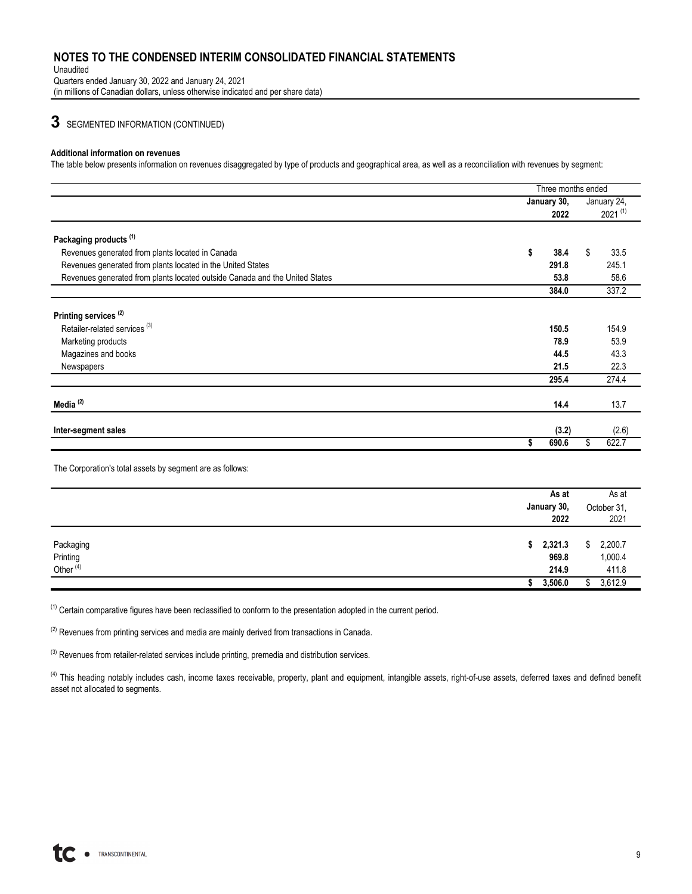#### Unaudited Quarters ended January 30, 2022 and January 24, 2021

(in millions of Canadian dollars, unless otherwise indicated and per share data)

**3** SEGMENTED INFORMATION (CONTINUED)

#### **Additional information on revenues**

The table below presents information on revenues disaggregated by type of products and geographical area, as well as a reconciliation with revenues by segment:

|                                                                             | Three months ended |              |
|-----------------------------------------------------------------------------|--------------------|--------------|
|                                                                             | January 30,        | January 24,  |
|                                                                             | 2022               | $2021^{(1)}$ |
| Packaging products <sup>(1)</sup>                                           |                    |              |
| Revenues generated from plants located in Canada                            | \$<br>38.4         | \$<br>33.5   |
| Revenues generated from plants located in the United States                 | 291.8              | 245.1        |
| Revenues generated from plants located outside Canada and the United States | 53.8               | 58.6         |
|                                                                             | 384.0              | 337.2        |
|                                                                             |                    |              |
| Printing services <sup>(2)</sup>                                            |                    |              |
| Retailer-related services <sup>(3)</sup>                                    | 150.5              | 154.9        |
| Marketing products                                                          | 78.9               | 53.9         |
| Magazines and books                                                         | 44.5               | 43.3         |
| Newspapers                                                                  | 21.5               | 22.3         |
|                                                                             | 295.4              | 274.4        |
|                                                                             |                    |              |
| Media $(2)$                                                                 | 14.4               | 13.7         |
|                                                                             |                    |              |
| Inter-segment sales                                                         | (3.2)              | (2.6)        |
|                                                                             | 690.6              | \$<br>622.7  |

The Corporation's total assets by segment are as follows:

|                                               | As at<br>January 30,<br>2022 | As at<br>October 31,<br>2021  |
|-----------------------------------------------|------------------------------|-------------------------------|
| Packaging<br>Printing<br>Other <sup>(4)</sup> | \$2,321.3<br>969.8<br>214.9  | \$2,200.7<br>1,000.4<br>411.8 |
|                                               | 3,506.0                      | 3,612.9<br>Ъ.                 |

 $<sup>(1)</sup>$  Certain comparative figures have been reclassified to conform to the presentation adopted in the current period.</sup>

 $(2)$  Revenues from printing services and media are mainly derived from transactions in Canada.

 $(3)$  Revenues from retailer-related services include printing, premedia and distribution services.

<sup>(4)</sup> This heading notably includes cash, income taxes receivable, property, plant and equipment, intangible assets, right-of-use assets, deferred taxes and defined benefit asset not allocated to segments.

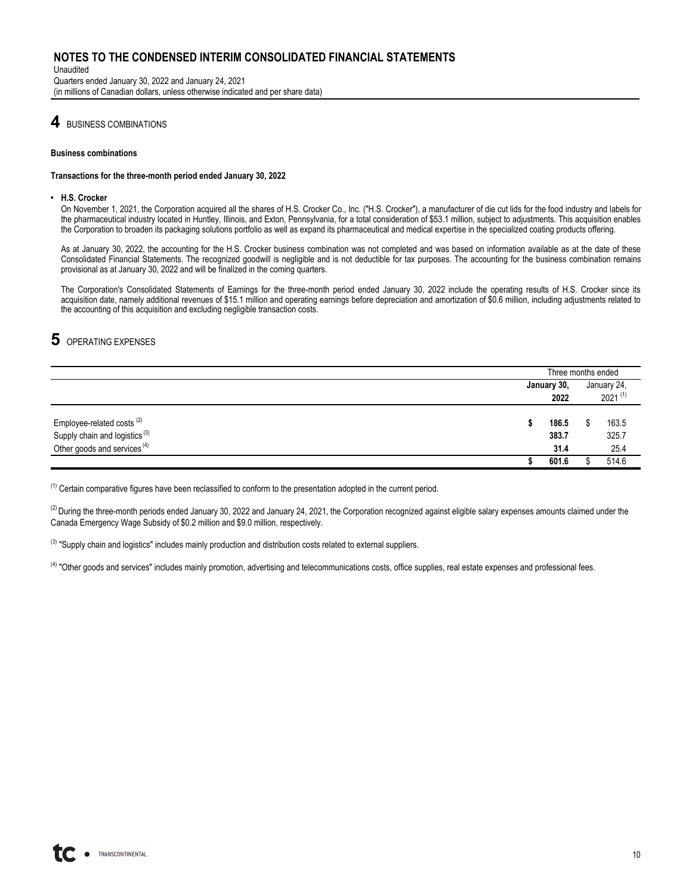Unaudited Quarters ended January 30, 2022 and January 24, 2021 (in millions of Canadian dollars, unless otherwise indicated and per share data)

## **4** BUSINESS COMBINATIONS

#### **Business combinations**

#### **Transactions for the three-month period ended January 30, 2022**

#### **• H.S. Crocker**

On November 1, 2021, the Corporation acquired all the shares of H.S. Crocker Co., Inc. ("H.S. Crocker"), a manufacturer of die cut lids for the food industry and labels for the pharmaceutical industry located in Huntley, Illinois, and Exton, Pennsylvania, for a total consideration of \$53.1 million, subject to adjustments. This acquisition enables the Corporation to broaden its packaging solutions portfolio as well as expand its pharmaceutical and medical expertise in the specialized coating products offering.

As at January 30, 2022, the accounting for the H.S. Crocker business combination was not completed and was based on information available as at the date of these Consolidated Financial Statements. The recognized goodwill is negligible and is not deductible for tax purposes. The accounting for the business combination remains provisional as at January 30, 2022 and will be finalized in the coming quarters.

The Corporation's Consolidated Statements of Earnings for the three-month period ended January 30, 2022 include the operating results of H.S. Crocker since its acquisition date, namely additional revenues of \$15.1 million and operating earnings before depreciation and amortization of \$0.6 million, including adjustments related to the accounting of this acquisition and excluding negligible transaction costs.

## **5** OPERATING EXPENSES

|                                                                                                                   |   |                        | Three months ended          |                        |  |
|-------------------------------------------------------------------------------------------------------------------|---|------------------------|-----------------------------|------------------------|--|
|                                                                                                                   |   | January 30,<br>2022    | January 24,<br>$2021^{(1)}$ |                        |  |
| Employee-related costs $^{(2)}$<br>Supply chain and logistics $^{(3)}$<br>Other goods and services <sup>(4)</sup> | э | 186.5<br>383.7<br>31.4 |                             | 163.5<br>325.7<br>25.4 |  |
|                                                                                                                   |   | 601.6                  |                             | 514.6                  |  |

 $<sup>(1)</sup>$  Certain comparative figures have been reclassified to conform to the presentation adopted in the current period.</sup>

 $^{(2)}$  During the three-month periods ended January 30, 2022 and January 24, 2021, the Corporation recognized against eligible salary expenses amounts claimed under the Canada Emergency Wage Subsidy of \$0.2 million and \$9.0 million, respectively.

<sup>(3)</sup> "Supply chain and logistics" includes mainly production and distribution costs related to external suppliers.

<sup>(4)</sup> "Other goods and services" includes mainly promotion, advertising and telecommunications costs, office supplies, real estate expenses and professional fees.

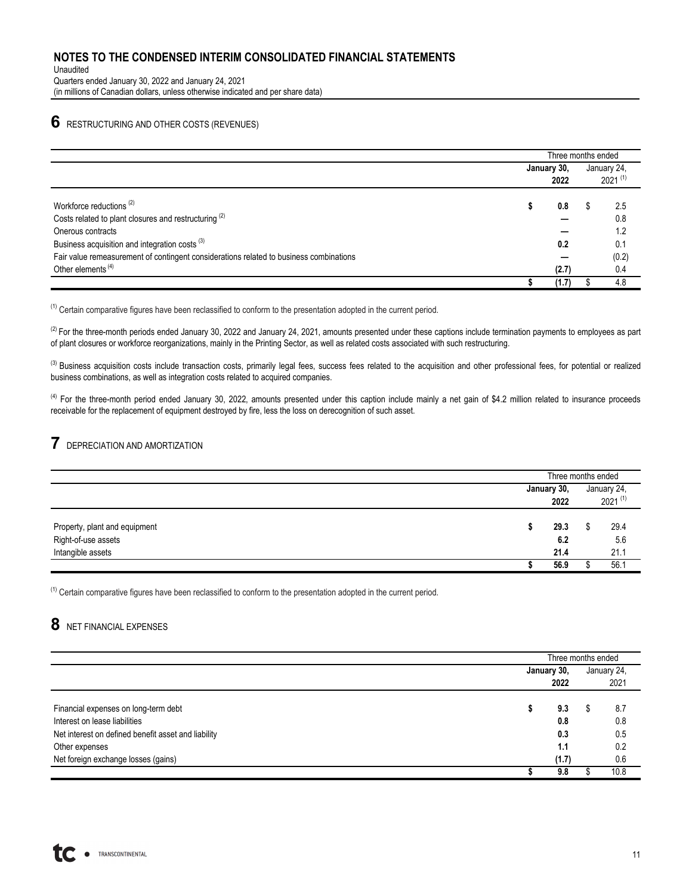Unaudited Quarters ended January 30, 2022 and January 24, 2021 (in millions of Canadian dollars, unless otherwise indicated and per share data)

## **6** RESTRUCTURING AND OTHER COSTS (REVENUES)

|                                                                                        |             | Three months ended |              |  |
|----------------------------------------------------------------------------------------|-------------|--------------------|--------------|--|
|                                                                                        | January 30, | January 24,        |              |  |
|                                                                                        | 2022        |                    | $2021^{(1)}$ |  |
| Workforce reductions <sup>(2)</sup>                                                    | 0.8         |                    | 2.5          |  |
| Costs related to plant closures and restructuring <sup>(2)</sup>                       |             |                    | 0.8          |  |
| Onerous contracts                                                                      |             |                    | 1.2          |  |
| Business acquisition and integration costs <sup>(3)</sup>                              | 0.2         |                    | 0.1          |  |
| Fair value remeasurement of contingent considerations related to business combinations |             |                    | (0.2)        |  |
| Other elements <sup>(4)</sup>                                                          | (2.7)       |                    | 0.4          |  |
|                                                                                        | (1.7)       |                    | 4.8          |  |

 $<sup>(1)</sup>$  Certain comparative figures have been reclassified to conform to the presentation adopted in the current period.</sup>

 $^{(2)}$  For the three-month periods ended January 30, 2022 and January 24, 2021, amounts presented under these captions include termination payments to employees as part of plant closures or workforce reorganizations, mainly in the Printing Sector, as well as related costs associated with such restructuring.

<sup>(3)</sup> Business acquisition costs include transaction costs, primarily legal fees, success fees related to the acquisition and other professional fees, for potential or realized business combinations, as well as integration costs related to acquired companies.

<sup>(4)</sup> For the three-month period ended January 30, 2022, amounts presented under this caption include mainly a net gain of \$4.2 million related to insurance proceeds receivable for the replacement of equipment destroyed by fire, less the loss on derecognition of such asset.

# **7** DEPRECIATION AND AMORTIZATION

|                                                      |                     | Three months ended |                             |  |
|------------------------------------------------------|---------------------|--------------------|-----------------------------|--|
|                                                      | January 30,<br>2022 |                    | January 24,<br>$2021^{(1)}$ |  |
| Property, plant and equipment<br>Right-of-use assets | 29.3<br>6.2         |                    | 29.4<br>5.6                 |  |
| Intangible assets                                    | 21.4                |                    | 21.1                        |  |
|                                                      | 56.9                |                    | 56.1                        |  |

 $<sup>(1)</sup>$  Certain comparative figures have been reclassified to conform to the presentation adopted in the current period.</sup>

# **8** NET FINANCIAL EXPENSES

|                                                     | Three months ended |   |             |  |  |  |
|-----------------------------------------------------|--------------------|---|-------------|--|--|--|
|                                                     | January 30,        |   | January 24, |  |  |  |
|                                                     | 2022               |   | 2021        |  |  |  |
|                                                     |                    |   |             |  |  |  |
| Financial expenses on long-term debt                | 9.3                | Œ | 8.7         |  |  |  |
| Interest on lease liabilities                       | 0.8                |   | 0.8         |  |  |  |
| Net interest on defined benefit asset and liability | 0.3                |   | 0.5         |  |  |  |
| Other expenses                                      | 1.1                |   | 0.2         |  |  |  |
| Net foreign exchange losses (gains)                 | (1.7)              |   | 0.6         |  |  |  |
|                                                     | 9.8                |   | 10.8        |  |  |  |

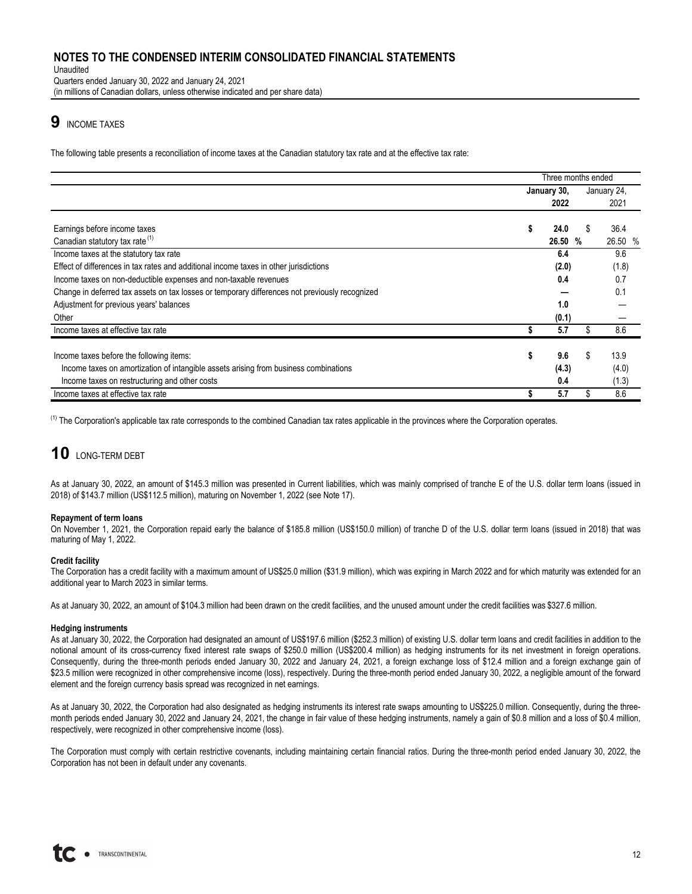Unaudited Quarters ended January 30, 2022 and January 24, 2021 (in millions of Canadian dollars, unless otherwise indicated and per share data)

# **9** INCOME TAXES

The following table presents a reconciliation of income taxes at the Canadian statutory tax rate and at the effective tax rate:

|                                                                                                | Three months ended |         |    |             |  |  |
|------------------------------------------------------------------------------------------------|--------------------|---------|----|-------------|--|--|
|                                                                                                | January 30,        |         |    | January 24, |  |  |
|                                                                                                |                    | 2022    |    | 2021        |  |  |
| Earnings before income taxes                                                                   |                    | 24.0    |    | 36.4        |  |  |
| Canadian statutory tax rate <sup>(1)</sup>                                                     |                    | 26.50 % |    | 26.50 %     |  |  |
| Income taxes at the statutory tax rate                                                         |                    | 6.4     |    | 9.6         |  |  |
| Effect of differences in tax rates and additional income taxes in other jurisdictions          |                    | (2.0)   |    | (1.8)       |  |  |
| Income taxes on non-deductible expenses and non-taxable revenues                               |                    | 0.4     |    | 0.7         |  |  |
| Change in deferred tax assets on tax losses or temporary differences not previously recognized |                    |         |    | 0.1         |  |  |
| Adjustment for previous years' balances                                                        |                    | 1.0     |    |             |  |  |
| Other                                                                                          |                    | (0.1)   |    |             |  |  |
| Income taxes at effective tax rate                                                             |                    | 5.7     |    | 8.6         |  |  |
|                                                                                                |                    |         |    |             |  |  |
| Income taxes before the following items:                                                       | S                  | 9.6     | \$ | 13.9        |  |  |
| Income taxes on amortization of intangible assets arising from business combinations           |                    | (4.3)   |    | (4.0)       |  |  |
| Income taxes on restructuring and other costs                                                  |                    | 0.4     |    | (1.3)       |  |  |
| Income taxes at effective tax rate                                                             |                    | 5.7     |    | 8.6         |  |  |

 $<sup>(1)</sup>$  The Corporation's applicable tax rate corresponds to the combined Canadian tax rates applicable in the provinces where the Corporation operates.</sup>

# **10** LONG-TERM DEBT

As at January 30, 2022, an amount of \$145.3 million was presented in Current liabilities, which was mainly comprised of tranche E of the U.S. dollar term loans (issued in 2018) of \$143.7 million (US\$112.5 million), maturing on November 1, 2022 (see Note 17).

### **Repayment of term loans**

On November 1, 2021, the Corporation repaid early the balance of \$185.8 million (US\$150.0 million) of tranche D of the U.S. dollar term loans (issued in 2018) that was maturing of May 1, 2022.

#### **Credit facility**

The Corporation has a credit facility with a maximum amount of US\$25.0 million (\$31.9 million), which was expiring in March 2022 and for which maturity was extended for an additional year to March 2023 in similar terms.

As at January 30, 2022, an amount of \$104.3 million had been drawn on the credit facilities, and the unused amount under the credit facilities was \$327.6 million.

#### **Hedging instruments**

As at January 30, 2022, the Corporation had designated an amount of US\$197.6 million (\$252.3 million) of existing U.S. dollar term loans and credit facilities in addition to the notional amount of its cross-currency fixed interest rate swaps of \$250.0 million (US\$200.4 million) as hedging instruments for its net investment in foreign operations. Consequently, during the three-month periods ended January 30, 2022 and January 24, 2021, a foreign exchange loss of \$12.4 million and a foreign exchange gain of \$23.5 million were recognized in other comprehensive income (loss), respectively. During the three-month period ended January 30, 2022, a negligible amount of the forward element and the foreign currency basis spread was recognized in net earnings.

As at January 30, 2022, the Corporation had also designated as hedging instruments its interest rate swaps amounting to US\$225.0 million. Consequently, during the threemonth periods ended January 30, 2022 and January 24, 2021, the change in fair value of these hedging instruments, namely a gain of \$0.8 million and a loss of \$0.4 million, respectively, were recognized in other comprehensive income (loss).

The Corporation must comply with certain restrictive covenants, including maintaining certain financial ratios. During the three-month period ended January 30, 2022, the Corporation has not been in default under any covenants.

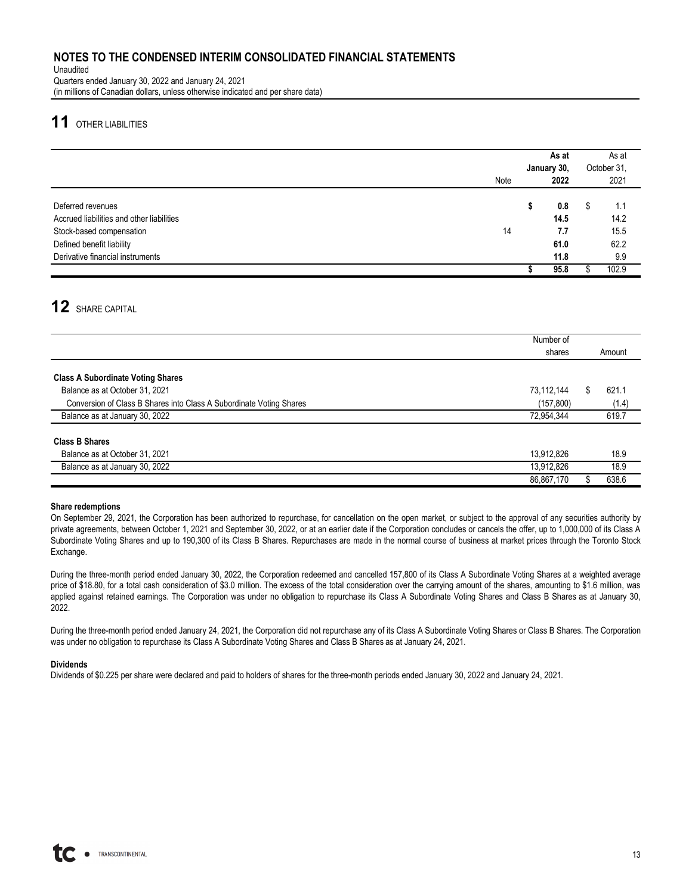Unaudited Quarters ended January 30, 2022 and January 24, 2021 (in millions of Canadian dollars, unless otherwise indicated and per share data)

# **11** OTHER LIABILITIES

|                                                                                                                                                             |      | As at<br>January 30, |                                    |   | As at<br>October 31,               |
|-------------------------------------------------------------------------------------------------------------------------------------------------------------|------|----------------------|------------------------------------|---|------------------------------------|
|                                                                                                                                                             | Note |                      | 2022                               |   | 2021                               |
| Deferred revenues<br>Accrued liabilities and other liabilities<br>Stock-based compensation<br>Defined benefit liability<br>Derivative financial instruments | 14   |                      | 0.8<br>14.5<br>7.7<br>61.0<br>11.8 | S | 1.1<br>14.2<br>15.5<br>62.2<br>9.9 |
|                                                                                                                                                             |      |                      | 95.8                               |   | 102.9                              |

# **12** SHARE CAPITAL

|                                                                     | Number of  |        |
|---------------------------------------------------------------------|------------|--------|
|                                                                     | shares     | Amount |
|                                                                     |            |        |
| <b>Class A Subordinate Voting Shares</b>                            |            |        |
| Balance as at October 31, 2021                                      | 73,112,144 | 621.1  |
| Conversion of Class B Shares into Class A Subordinate Voting Shares | (157, 800) | (1.4)  |
| Balance as at January 30, 2022                                      | 72,954,344 | 619.7  |
|                                                                     |            |        |
| <b>Class B Shares</b>                                               |            |        |
| Balance as at October 31, 2021                                      | 13,912,826 | 18.9   |
| Balance as at January 30, 2022                                      | 13,912,826 | 18.9   |
|                                                                     | 86,867,170 | 638.6  |

### **Share redemptions**

On September 29, 2021, the Corporation has been authorized to repurchase, for cancellation on the open market, or subject to the approval of any securities authority by private agreements, between October 1, 2021 and September 30, 2022, or at an earlier date if the Corporation concludes or cancels the offer, up to 1,000,000 of its Class A Subordinate Voting Shares and up to 190,300 of its Class B Shares. Repurchases are made in the normal course of business at market prices through the Toronto Stock Exchange.

During the three-month period ended January 30, 2022, the Corporation redeemed and cancelled 157,800 of its Class A Subordinate Voting Shares at a weighted average price of \$18.80, for a total cash consideration of \$3.0 million. The excess of the total consideration over the carrying amount of the shares, amounting to \$1.6 million, was applied against retained earnings. The Corporation was under no obligation to repurchase its Class A Subordinate Voting Shares and Class B Shares as at January 30, 2022.

During the three-month period ended January 24, 2021, the Corporation did not repurchase any of its Class A Subordinate Voting Shares or Class B Shares. The Corporation was under no obligation to repurchase its Class A Subordinate Voting Shares and Class B Shares as at January 24, 2021.

### **Dividends**

Dividends of \$0.225 per share were declared and paid to holders of shares for the three-month periods ended January 30, 2022 and January 24, 2021.

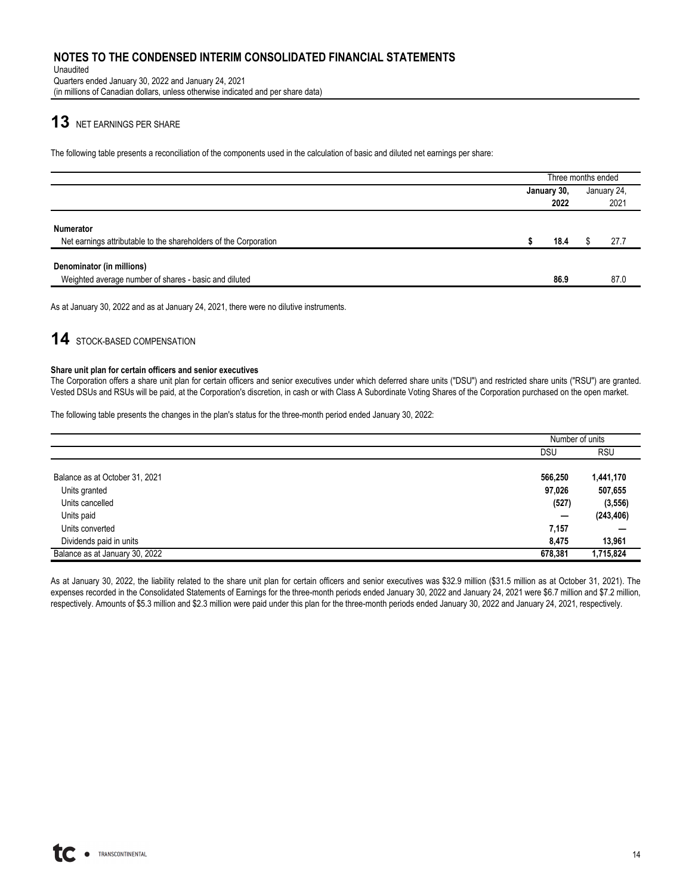Unaudited Quarters ended January 30, 2022 and January 24, 2021 (in millions of Canadian dollars, unless otherwise indicated and per share data)

# **13** NET EARNINGS PER SHARE

The following table presents a reconciliation of the components used in the calculation of basic and diluted net earnings per share:

|                                                                                      | Three months ended  |      |  |                     |  |  |  |
|--------------------------------------------------------------------------------------|---------------------|------|--|---------------------|--|--|--|
|                                                                                      | January 30,<br>2022 |      |  | January 24,<br>2021 |  |  |  |
|                                                                                      |                     |      |  |                     |  |  |  |
| <b>Numerator</b><br>Net earnings attributable to the shareholders of the Corporation |                     | 18.4 |  | 27.7                |  |  |  |
| Denominator (in millions)                                                            |                     |      |  |                     |  |  |  |
| Weighted average number of shares - basic and diluted                                |                     | 86.9 |  | 87.0                |  |  |  |

As at January 30, 2022 and as at January 24, 2021, there were no dilutive instruments.

# **14** STOCK-BASED COMPENSATION

#### **Share unit plan for certain officers and senior executives**

The Corporation offers a share unit plan for certain officers and senior executives under which deferred share units ("DSU") and restricted share units ("RSU") are granted. Vested DSUs and RSUs will be paid, at the Corporation's discretion, in cash or with Class A Subordinate Voting Shares of the Corporation purchased on the open market.

The following table presents the changes in the plan's status for the three-month period ended January 30, 2022:

|                                | Number of units |            |
|--------------------------------|-----------------|------------|
|                                | <b>DSU</b>      | <b>RSU</b> |
|                                |                 |            |
| Balance as at October 31, 2021 | 566,250         | 1,441,170  |
| Units granted                  | 97,026          | 507,655    |
| Units cancelled                | (527)           | (3, 556)   |
| Units paid                     |                 | (243, 406) |
| Units converted                | 7,157           |            |
| Dividends paid in units        | 8.475           | 13,961     |
| Balance as at January 30, 2022 | 678,381         | 1,715,824  |

As at January 30, 2022, the liability related to the share unit plan for certain officers and senior executives was \$32.9 million (\$31.5 million as at October 31, 2021). The expenses recorded in the Consolidated Statements of Earnings for the three-month periods ended January 30, 2022 and January 24, 2021 were \$6.7 million and \$7.2 million, respectively. Amounts of \$5.3 million and \$2.3 million were paid under this plan for the three-month periods ended January 30, 2022 and January 24, 2021, respectively.

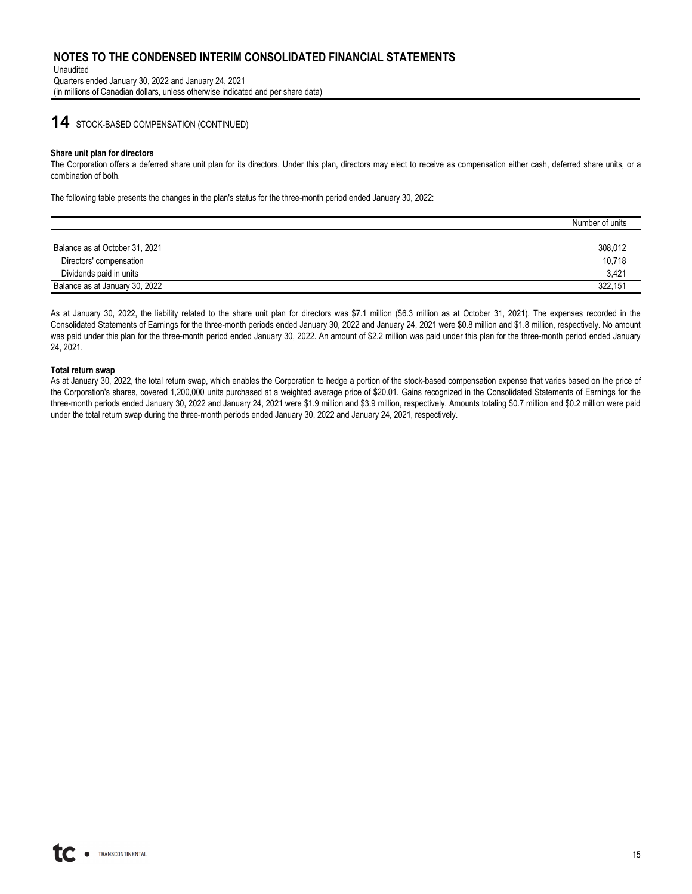Unaudited Quarters ended January 30, 2022 and January 24, 2021 (in millions of Canadian dollars, unless otherwise indicated and per share data)

## **14** STOCK-BASED COMPENSATION (CONTINUED)

#### **Share unit plan for directors**

The Corporation offers a deferred share unit plan for its directors. Under this plan, directors may elect to receive as compensation either cash, deferred share units, or a combination of both.

The following table presents the changes in the plan's status for the three-month period ended January 30, 2022:

|                                | Number of units |
|--------------------------------|-----------------|
|                                |                 |
| Balance as at October 31, 2021 | 308,012         |
| Directors' compensation        | 10,718          |
| Dividends paid in units        | 3.421           |
| Balance as at January 30, 2022 | 322.151         |

As at January 30, 2022, the liability related to the share unit plan for directors was \$7.1 million (\$6.3 million as at October 31, 2021). The expenses recorded in the Consolidated Statements of Earnings for the three-month periods ended January 30, 2022 and January 24, 2021 were \$0.8 million and \$1.8 million, respectively. No amount was paid under this plan for the three-month period ended January 30, 2022. An amount of \$2.2 million was paid under this plan for the three-month period ended January 24, 2021.

#### **Total return swap**

As at January 30, 2022, the total return swap, which enables the Corporation to hedge a portion of the stock-based compensation expense that varies based on the price of the Corporation's shares, covered 1,200,000 units purchased at a weighted average price of \$20.01. Gains recognized in the Consolidated Statements of Earnings for the three-month periods ended January 30, 2022 and January 24, 2021 were \$1.9 million and \$3.9 million, respectively. Amounts totaling \$0.7 million and \$0.2 million were paid under the total return swap during the three-month periods ended January 30, 2022 and January 24, 2021, respectively.



15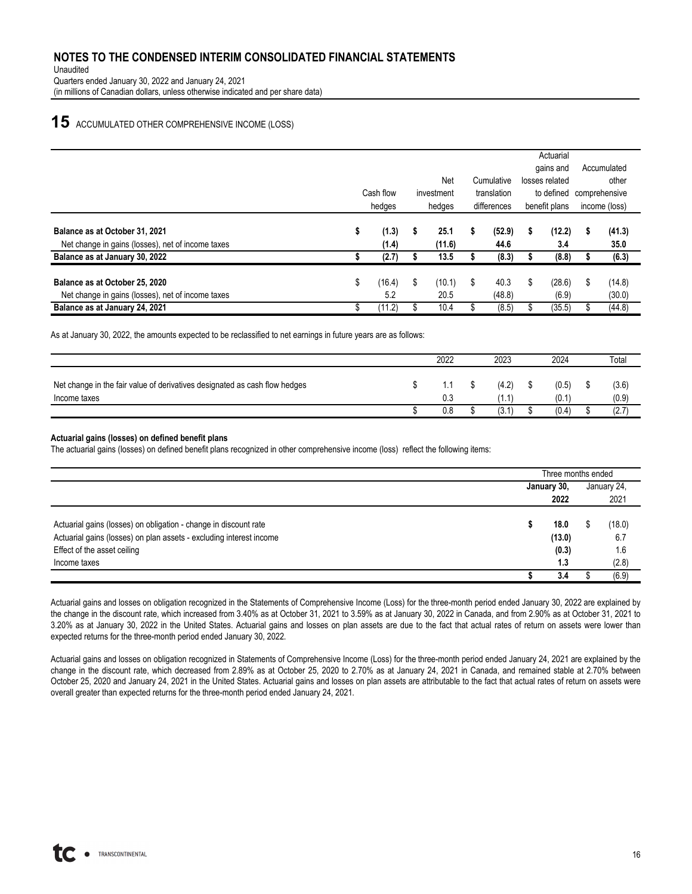Unaudited Quarters ended January 30, 2022 and January 24, 2021 (in millions of Canadian dollars, unless otherwise indicated and per share data)

## **15** ACCUMULATED OTHER COMPREHENSIVE INCOME (LOSS)

|                                                   |                          |        |        |        |            |            |    | Actuarial      |             |             |               |  |               |  |  |
|---------------------------------------------------|--------------------------|--------|--------|--------|------------|------------|----|----------------|-------------|-------------|---------------|--|---------------|--|--|
|                                                   |                          |        |        |        |            |            |    | gains and      |             | Accumulated |               |  |               |  |  |
|                                                   |                          |        |        | Net    |            | Cumulative |    | losses related |             | other       |               |  |               |  |  |
|                                                   | Cash flow<br>translation |        |        |        | investment |            |    |                | to defined  |             | comprehensive |  |               |  |  |
|                                                   |                          | hedges | hedges |        |            |            |    |                | differences |             | benefit plans |  | income (loss) |  |  |
|                                                   |                          |        |        |        |            |            |    |                |             |             |               |  |               |  |  |
| Balance as at October 31, 2021                    | S                        | (1.3)  | s      | 25.1   | s.         | (52.9)     | s  | (12.2)         | S           | (41.3)      |               |  |               |  |  |
| Net change in gains (losses), net of income taxes |                          | (1.4)  |        | (11.6) |            | 44.6       |    | 3.4            |             | 35.0        |               |  |               |  |  |
| Balance as at January 30, 2022                    |                          | (2.7)  |        | 13.5   |            | (8.3)      |    | (8.8)          |             | (6.3)       |               |  |               |  |  |
|                                                   |                          |        |        |        |            |            |    |                |             |             |               |  |               |  |  |
| Balance as at October 25, 2020                    | \$                       | (16.4) | \$     | (10.1) | \$         | 40.3       | \$ | (28.6)         | \$          | (14.8)      |               |  |               |  |  |
| Net change in gains (losses), net of income taxes |                          | 5.2    |        | 20.5   |            | (48.8)     |    | (6.9)          |             | (30.0)      |               |  |               |  |  |
| Balance as at January 24, 2021                    | Œ                        | (11.2) |        | 10.4   |            | (8.5)      |    | (35.5)         |             | (44.8)      |               |  |               |  |  |

As at January 30, 2022, the amounts expected to be reclassified to net earnings in future years are as follows:

|                                                                            | 2022 | 2023  | 2024  | Total |
|----------------------------------------------------------------------------|------|-------|-------|-------|
| Net change in the fair value of derivatives designated as cash flow hedges | 1.1  | (4.2) | (0.5) | (3.6) |
| Income taxes                                                               | 0.3  | (1.1) | (0.1) | (0.9) |
|                                                                            | 0.8  | (3.1) | (0.4) | (2.7) |

#### **Actuarial gains (losses) on defined benefit plans**

The actuarial gains (losses) on defined benefit plans recognized in other comprehensive income (loss) reflect the following items:

|                                                                     | Three months ended |        |   |             |  |  |
|---------------------------------------------------------------------|--------------------|--------|---|-------------|--|--|
|                                                                     | January 30,        |        |   | January 24, |  |  |
|                                                                     |                    | 2022   |   | 2021        |  |  |
|                                                                     |                    |        |   |             |  |  |
| Actuarial gains (losses) on obligation - change in discount rate    |                    | 18.0   | Œ | (18.0)      |  |  |
| Actuarial gains (losses) on plan assets - excluding interest income |                    | (13.0) |   | 6.7         |  |  |
| Effect of the asset ceiling                                         |                    | (0.3)  |   | 1.6         |  |  |
| Income taxes                                                        |                    | 1.3    |   | (2.8)       |  |  |
|                                                                     |                    | 3.4    |   | (6.9)       |  |  |

Actuarial gains and losses on obligation recognized in the Statements of Comprehensive Income (Loss) for the three-month period ended January 30, 2022 are explained by the change in the discount rate, which increased from 3.40% as at October 31, 2021 to 3.59% as at January 30, 2022 in Canada, and from 2.90% as at October 31, 2021 to 3.20% as at January 30, 2022 in the United States. Actuarial gains and losses on plan assets are due to the fact that actual rates of return on assets were lower than expected returns for the three-month period ended January 30, 2022.

Actuarial gains and losses on obligation recognized in Statements of Comprehensive Income (Loss) for the three-month period ended January 24, 2021 are explained by the change in the discount rate, which decreased from 2.89% as at October 25, 2020 to 2.70% as at January 24, 2021 in Canada, and remained stable at 2.70% between October 25, 2020 and January 24, 2021 in the United States. Actuarial gains and losses on plan assets are attributable to the fact that actual rates of return on assets were overall greater than expected returns for the three-month period ended January 24, 2021.

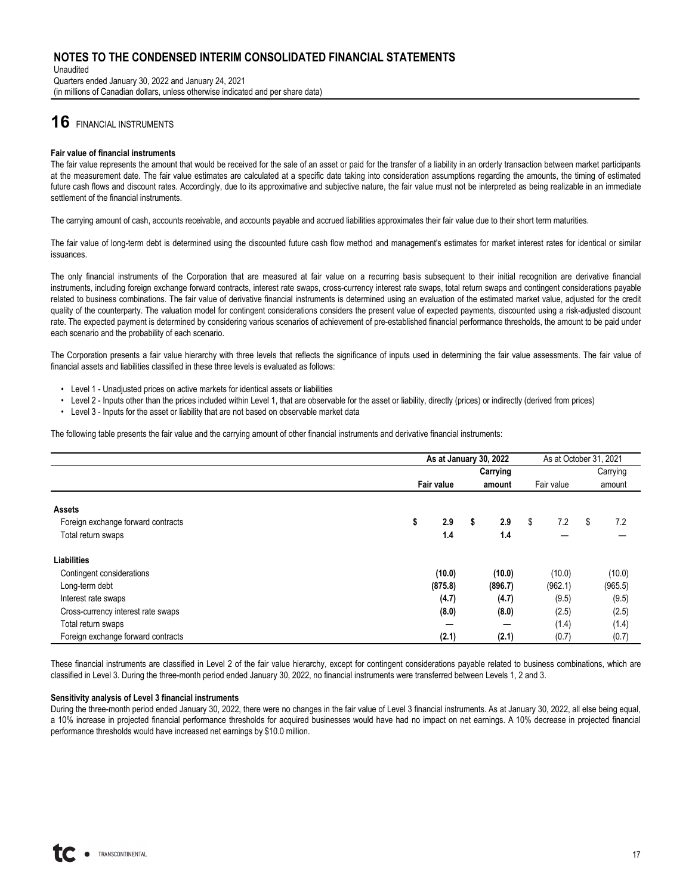Unaudited Quarters ended January 30, 2022 and January 24, 2021 (in millions of Canadian dollars, unless otherwise indicated and per share data)

# **16** FINANCIAL INSTRUMENTS

#### **Fair value of financial instruments**

The fair value represents the amount that would be received for the sale of an asset or paid for the transfer of a liability in an orderly transaction between market participants at the measurement date. The fair value estimates are calculated at a specific date taking into consideration assumptions regarding the amounts, the timing of estimated future cash flows and discount rates. Accordingly, due to its approximative and subjective nature, the fair value must not be interpreted as being realizable in an immediate settlement of the financial instruments.

The carrying amount of cash, accounts receivable, and accounts payable and accrued liabilities approximates their fair value due to their short term maturities.

The fair value of long-term debt is determined using the discounted future cash flow method and management's estimates for market interest rates for identical or similar issuances.

The only financial instruments of the Corporation that are measured at fair value on a recurring basis subsequent to their initial recognition are derivative financial instruments, including foreign exchange forward contracts, interest rate swaps, cross-currency interest rate swaps, total return swaps and contingent considerations payable related to business combinations. The fair value of derivative financial instruments is determined using an evaluation of the estimated market value, adjusted for the credit quality of the counterparty. The valuation model for contingent considerations considers the present value of expected payments, discounted using a risk-adjusted discount rate. The expected payment is determined by considering various scenarios of achievement of pre-established financial performance thresholds, the amount to be paid under each scenario and the probability of each scenario.

The Corporation presents a fair value hierarchy with three levels that reflects the significance of inputs used in determining the fair value assessments. The fair value of financial assets and liabilities classified in these three levels is evaluated as follows:

- Level 1 Unadjusted prices on active markets for identical assets or liabilities
- Level 2 Inputs other than the prices included within Level 1, that are observable for the asset or liability, directly (prices) or indirectly (derived from prices)
- Level 3 Inputs for the asset or liability that are not based on observable market data

The following table presents the fair value and the carrying amount of other financial instruments and derivative financial instruments:

|                                    | As at January 30, 2022 |           | As at October 31, 2021 |           |
|------------------------------------|------------------------|-----------|------------------------|-----------|
|                                    |                        |           | Carrying               |           |
|                                    | <b>Fair value</b>      | amount    | Fair value             | amount    |
| <b>Assets</b>                      |                        |           |                        |           |
| Foreign exchange forward contracts | \$<br>2.9              | \$<br>2.9 | \$<br>7.2              | \$<br>7.2 |
| Total return swaps                 | 1.4                    | 1.4       |                        |           |
| Liabilities                        |                        |           |                        |           |
| Contingent considerations          | (10.0)                 | (10.0)    | (10.0)                 | (10.0)    |
| Long-term debt                     | (875.8)                | (896.7)   | (962.1)                | (965.5)   |
| Interest rate swaps                | (4.7)                  | (4.7)     | (9.5)                  | (9.5)     |
| Cross-currency interest rate swaps | (8.0)                  | (8.0)     | (2.5)                  | (2.5)     |
| Total return swaps                 |                        |           | (1.4)                  | (1.4)     |
| Foreign exchange forward contracts | (2.1)                  | (2.1)     | (0.7)                  | (0.7)     |

These financial instruments are classified in Level 2 of the fair value hierarchy, except for contingent considerations payable related to business combinations, which are classified in Level 3. During the three-month period ended January 30, 2022, no financial instruments were transferred between Levels 1, 2 and 3.

#### **Sensitivity analysis of Level 3 financial instruments**

During the three-month period ended January 30, 2022, there were no changes in the fair value of Level 3 financial instruments. As at January 30, 2022, all else being equal, a 10% increase in projected financial performance thresholds for acquired businesses would have had no impact on net earnings. A 10% decrease in projected financial performance thresholds would have increased net earnings by \$10.0 million.